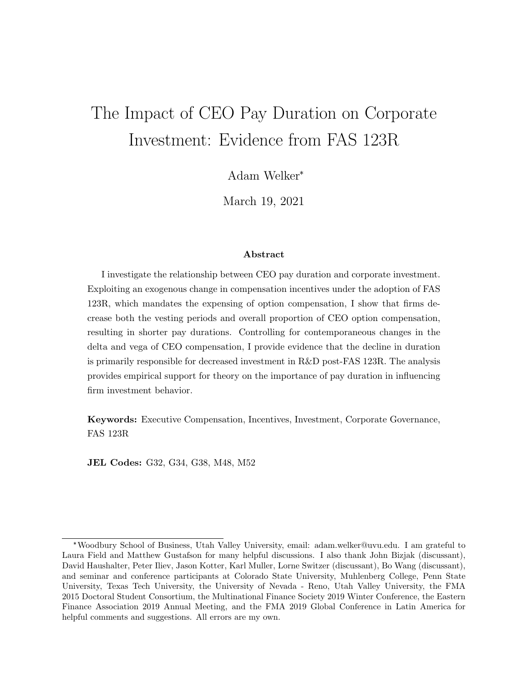# <span id="page-0-0"></span>The Impact of CEO Pay Duration on Corporate Investment: Evidence from FAS 123R

Adam Welker\*

March 19, 2021

#### Abstract

I investigate the relationship between CEO pay duration and corporate investment. Exploiting an exogenous change in compensation incentives under the adoption of FAS 123R, which mandates the expensing of option compensation, I show that firms decrease both the vesting periods and overall proportion of CEO option compensation, resulting in shorter pay durations. Controlling for contemporaneous changes in the delta and vega of CEO compensation, I provide evidence that the decline in duration is primarily responsible for decreased investment in R&D post-FAS 123R. The analysis provides empirical support for theory on the importance of pay duration in influencing firm investment behavior.

Keywords: Executive Compensation, Incentives, Investment, Corporate Governance, FAS 123R

JEL Codes: G32, G34, G38, M48, M52

<sup>\*</sup>Woodbury School of Business, Utah Valley University, email: adam.welker@uvu.edu. I am grateful to Laura Field and Matthew Gustafson for many helpful discussions. I also thank John Bizjak (discussant), David Haushalter, Peter Iliev, Jason Kotter, Karl Muller, Lorne Switzer (discussant), Bo Wang (discussant), and seminar and conference participants at Colorado State University, Muhlenberg College, Penn State University, Texas Tech University, the University of Nevada - Reno, Utah Valley University, the FMA 2015 Doctoral Student Consortium, the Multinational Finance Society 2019 Winter Conference, the Eastern Finance Association 2019 Annual Meeting, and the FMA 2019 Global Conference in Latin America for helpful comments and suggestions. All errors are my own.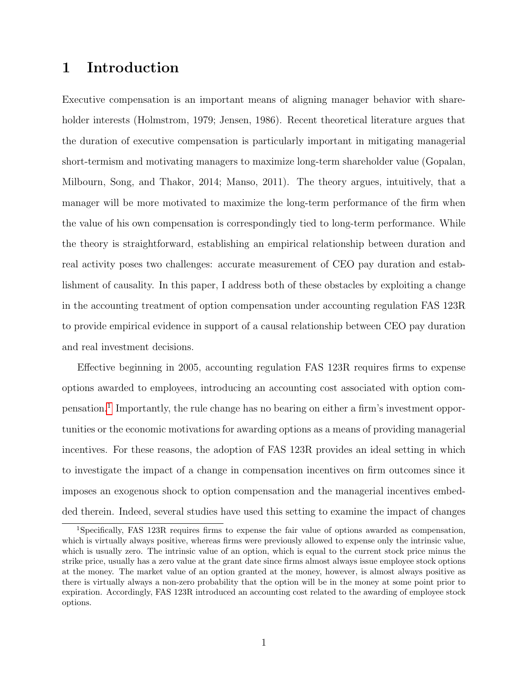# 1 Introduction

Executive compensation is an important means of aligning manager behavior with shareholder interests (Holmstrom, 1979; Jensen, 1986). Recent theoretical literature argues that the duration of executive compensation is particularly important in mitigating managerial short-termism and motivating managers to maximize long-term shareholder value (Gopalan, Milbourn, Song, and Thakor, 2014; Manso, 2011). The theory argues, intuitively, that a manager will be more motivated to maximize the long-term performance of the firm when the value of his own compensation is correspondingly tied to long-term performance. While the theory is straightforward, establishing an empirical relationship between duration and real activity poses two challenges: accurate measurement of CEO pay duration and establishment of causality. In this paper, I address both of these obstacles by exploiting a change in the accounting treatment of option compensation under accounting regulation FAS 123R to provide empirical evidence in support of a causal relationship between CEO pay duration and real investment decisions.

Effective beginning in 2005, accounting regulation FAS 123R requires firms to expense options awarded to employees, introducing an accounting cost associated with option com-pensation.<sup>[1](#page-1-0)</sup> Importantly, the rule change has no bearing on either a firm's investment opportunities or the economic motivations for awarding options as a means of providing managerial incentives. For these reasons, the adoption of FAS 123R provides an ideal setting in which to investigate the impact of a change in compensation incentives on firm outcomes since it imposes an exogenous shock to option compensation and the managerial incentives embedded therein. Indeed, several studies have used this setting to examine the impact of changes

<span id="page-1-0"></span><sup>1</sup>Specifically, FAS 123R requires firms to expense the fair value of options awarded as compensation, which is virtually always positive, whereas firms were previously allowed to expense only the intrinsic value, which is usually zero. The intrinsic value of an option, which is equal to the current stock price minus the strike price, usually has a zero value at the grant date since firms almost always issue employee stock options at the money. The market value of an option granted at the money, however, is almost always positive as there is virtually always a non-zero probability that the option will be in the money at some point prior to expiration. Accordingly, FAS 123R introduced an accounting cost related to the awarding of employee stock options.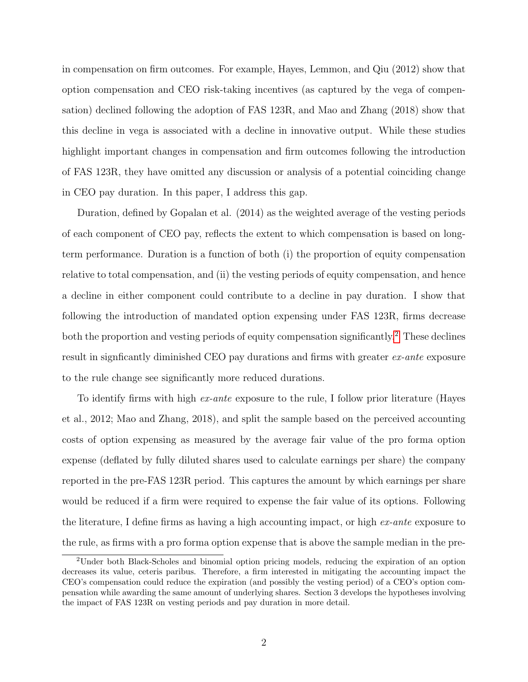in compensation on firm outcomes. For example, Hayes, Lemmon, and Qiu (2012) show that option compensation and CEO risk-taking incentives (as captured by the vega of compensation) declined following the adoption of FAS 123R, and Mao and Zhang (2018) show that this decline in vega is associated with a decline in innovative output. While these studies highlight important changes in compensation and firm outcomes following the introduction of FAS 123R, they have omitted any discussion or analysis of a potential coinciding change in CEO pay duration. In this paper, I address this gap.

Duration, defined by Gopalan et al. (2014) as the weighted average of the vesting periods of each component of CEO pay, reflects the extent to which compensation is based on longterm performance. Duration is a function of both (i) the proportion of equity compensation relative to total compensation, and (ii) the vesting periods of equity compensation, and hence a decline in either component could contribute to a decline in pay duration. I show that following the introduction of mandated option expensing under FAS 123R, firms decrease both the proportion and vesting periods of equity compensation significantly.<sup>[2](#page-2-0)</sup> These declines result in signficantly diminished CEO pay durations and firms with greater ex-ante exposure to the rule change see significantly more reduced durations.

To identify firms with high *ex-ante* exposure to the rule, I follow prior literature (Hayes et al., 2012; Mao and Zhang, 2018), and split the sample based on the perceived accounting costs of option expensing as measured by the average fair value of the pro forma option expense (deflated by fully diluted shares used to calculate earnings per share) the company reported in the pre-FAS 123R period. This captures the amount by which earnings per share would be reduced if a firm were required to expense the fair value of its options. Following the literature, I define firms as having a high accounting impact, or high  $ex$ -ante exposure to the rule, as firms with a pro forma option expense that is above the sample median in the pre-

<span id="page-2-0"></span><sup>2</sup>Under both Black-Scholes and binomial option pricing models, reducing the expiration of an option decreases its value, ceteris paribus. Therefore, a firm interested in mitigating the accounting impact the CEO's compensation could reduce the expiration (and possibly the vesting period) of a CEO's option compensation while awarding the same amount of underlying shares. Section 3 develops the hypotheses involving the impact of FAS 123R on vesting periods and pay duration in more detail.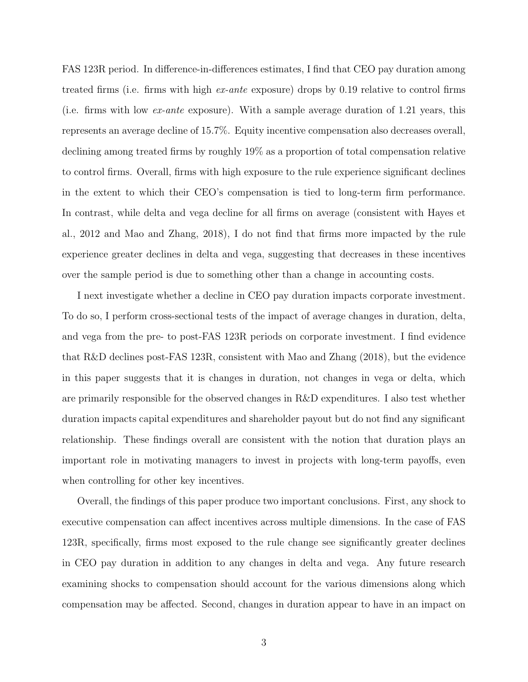FAS 123R period. In difference-in-differences estimates, I find that CEO pay duration among treated firms (i.e. firms with high ex-ante exposure) drops by 0.19 relative to control firms (i.e. firms with low ex-ante exposure). With a sample average duration of 1.21 years, this represents an average decline of 15.7%. Equity incentive compensation also decreases overall, declining among treated firms by roughly 19% as a proportion of total compensation relative to control firms. Overall, firms with high exposure to the rule experience significant declines in the extent to which their CEO's compensation is tied to long-term firm performance. In contrast, while delta and vega decline for all firms on average (consistent with Hayes et al., 2012 and Mao and Zhang, 2018), I do not find that firms more impacted by the rule experience greater declines in delta and vega, suggesting that decreases in these incentives over the sample period is due to something other than a change in accounting costs.

I next investigate whether a decline in CEO pay duration impacts corporate investment. To do so, I perform cross-sectional tests of the impact of average changes in duration, delta, and vega from the pre- to post-FAS 123R periods on corporate investment. I find evidence that R&D declines post-FAS 123R, consistent with Mao and Zhang (2018), but the evidence in this paper suggests that it is changes in duration, not changes in vega or delta, which are primarily responsible for the observed changes in R&D expenditures. I also test whether duration impacts capital expenditures and shareholder payout but do not find any significant relationship. These findings overall are consistent with the notion that duration plays an important role in motivating managers to invest in projects with long-term payoffs, even when controlling for other key incentives.

Overall, the findings of this paper produce two important conclusions. First, any shock to executive compensation can affect incentives across multiple dimensions. In the case of FAS 123R, specifically, firms most exposed to the rule change see significantly greater declines in CEO pay duration in addition to any changes in delta and vega. Any future research examining shocks to compensation should account for the various dimensions along which compensation may be affected. Second, changes in duration appear to have in an impact on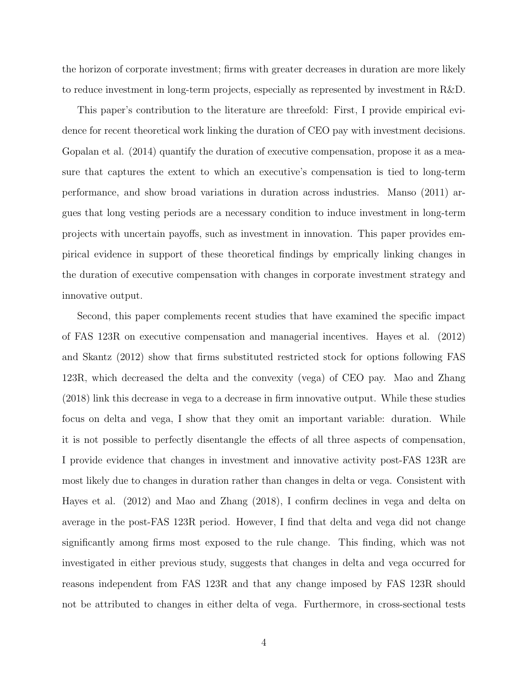the horizon of corporate investment; firms with greater decreases in duration are more likely to reduce investment in long-term projects, especially as represented by investment in R&D.

This paper's contribution to the literature are threefold: First, I provide empirical evidence for recent theoretical work linking the duration of CEO pay with investment decisions. Gopalan et al. (2014) quantify the duration of executive compensation, propose it as a measure that captures the extent to which an executive's compensation is tied to long-term performance, and show broad variations in duration across industries. Manso (2011) argues that long vesting periods are a necessary condition to induce investment in long-term projects with uncertain payoffs, such as investment in innovation. This paper provides empirical evidence in support of these theoretical findings by emprically linking changes in the duration of executive compensation with changes in corporate investment strategy and innovative output.

Second, this paper complements recent studies that have examined the specific impact of FAS 123R on executive compensation and managerial incentives. Hayes et al. (2012) and Skantz (2012) show that firms substituted restricted stock for options following FAS 123R, which decreased the delta and the convexity (vega) of CEO pay. Mao and Zhang (2018) link this decrease in vega to a decrease in firm innovative output. While these studies focus on delta and vega, I show that they omit an important variable: duration. While it is not possible to perfectly disentangle the effects of all three aspects of compensation, I provide evidence that changes in investment and innovative activity post-FAS 123R are most likely due to changes in duration rather than changes in delta or vega. Consistent with Hayes et al. (2012) and Mao and Zhang (2018), I confirm declines in vega and delta on average in the post-FAS 123R period. However, I find that delta and vega did not change significantly among firms most exposed to the rule change. This finding, which was not investigated in either previous study, suggests that changes in delta and vega occurred for reasons independent from FAS 123R and that any change imposed by FAS 123R should not be attributed to changes in either delta of vega. Furthermore, in cross-sectional tests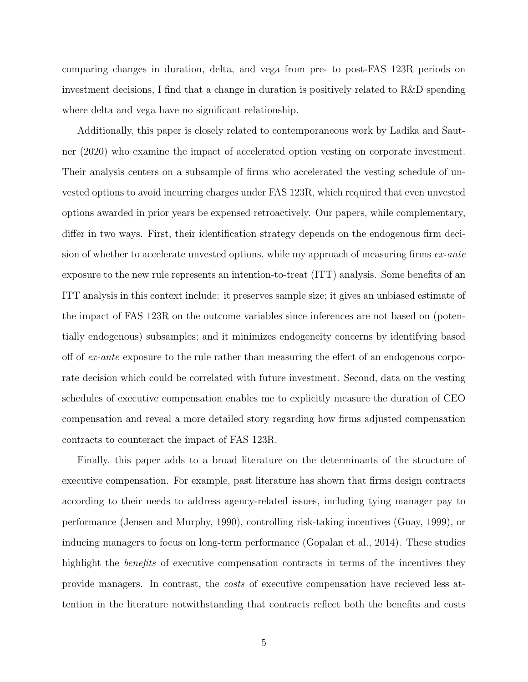comparing changes in duration, delta, and vega from pre- to post-FAS 123R periods on investment decisions, I find that a change in duration is positively related to R&D spending where delta and vega have no significant relationship.

Additionally, this paper is closely related to contemporaneous work by Ladika and Sautner (2020) who examine the impact of accelerated option vesting on corporate investment. Their analysis centers on a subsample of firms who accelerated the vesting schedule of unvested options to avoid incurring charges under FAS 123R, which required that even unvested options awarded in prior years be expensed retroactively. Our papers, while complementary, differ in two ways. First, their identification strategy depends on the endogenous firm decision of whether to accelerate unvested options, while my approach of measuring firms  $ex$ -ante exposure to the new rule represents an intention-to-treat (ITT) analysis. Some benefits of an ITT analysis in this context include: it preserves sample size; it gives an unbiased estimate of the impact of FAS 123R on the outcome variables since inferences are not based on (potentially endogenous) subsamples; and it minimizes endogeneity concerns by identifying based off of ex-ante exposure to the rule rather than measuring the effect of an endogenous corporate decision which could be correlated with future investment. Second, data on the vesting schedules of executive compensation enables me to explicitly measure the duration of CEO compensation and reveal a more detailed story regarding how firms adjusted compensation contracts to counteract the impact of FAS 123R.

Finally, this paper adds to a broad literature on the determinants of the structure of executive compensation. For example, past literature has shown that firms design contracts according to their needs to address agency-related issues, including tying manager pay to performance (Jensen and Murphy, 1990), controlling risk-taking incentives (Guay, 1999), or inducing managers to focus on long-term performance (Gopalan et al., 2014). These studies highlight the *benefits* of executive compensation contracts in terms of the incentives they provide managers. In contrast, the costs of executive compensation have recieved less attention in the literature notwithstanding that contracts reflect both the benefits and costs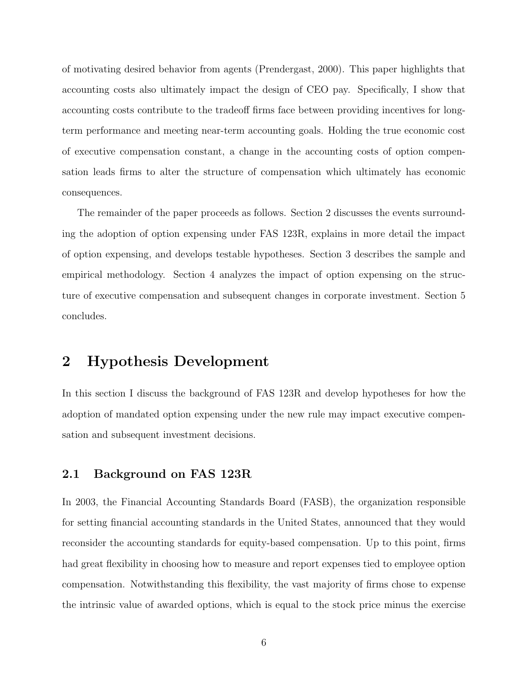of motivating desired behavior from agents (Prendergast, 2000). This paper highlights that accounting costs also ultimately impact the design of CEO pay. Specifically, I show that accounting costs contribute to the tradeoff firms face between providing incentives for longterm performance and meeting near-term accounting goals. Holding the true economic cost of executive compensation constant, a change in the accounting costs of option compensation leads firms to alter the structure of compensation which ultimately has economic consequences.

The remainder of the paper proceeds as follows. Section 2 discusses the events surrounding the adoption of option expensing under FAS 123R, explains in more detail the impact of option expensing, and develops testable hypotheses. Section 3 describes the sample and empirical methodology. Section 4 analyzes the impact of option expensing on the structure of executive compensation and subsequent changes in corporate investment. Section 5 concludes.

## 2 Hypothesis Development

In this section I discuss the background of FAS 123R and develop hypotheses for how the adoption of mandated option expensing under the new rule may impact executive compensation and subsequent investment decisions.

#### 2.1 Background on FAS 123R

In 2003, the Financial Accounting Standards Board (FASB), the organization responsible for setting financial accounting standards in the United States, announced that they would reconsider the accounting standards for equity-based compensation. Up to this point, firms had great flexibility in choosing how to measure and report expenses tied to employee option compensation. Notwithstanding this flexibility, the vast majority of firms chose to expense the intrinsic value of awarded options, which is equal to the stock price minus the exercise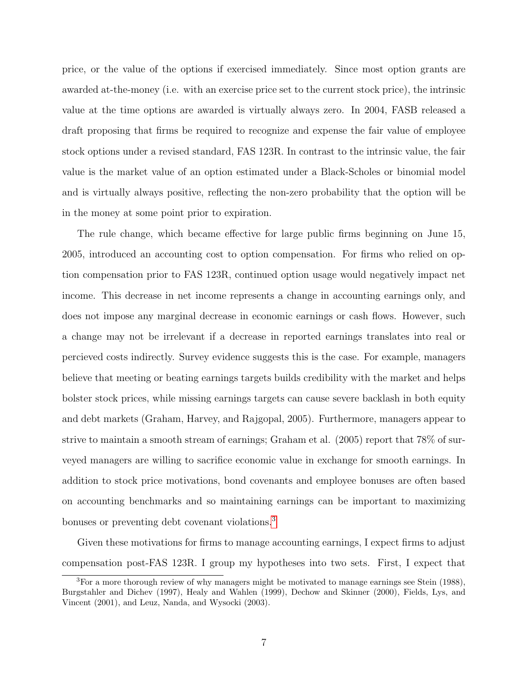price, or the value of the options if exercised immediately. Since most option grants are awarded at-the-money (i.e. with an exercise price set to the current stock price), the intrinsic value at the time options are awarded is virtually always zero. In 2004, FASB released a draft proposing that firms be required to recognize and expense the fair value of employee stock options under a revised standard, FAS 123R. In contrast to the intrinsic value, the fair value is the market value of an option estimated under a Black-Scholes or binomial model and is virtually always positive, reflecting the non-zero probability that the option will be in the money at some point prior to expiration.

The rule change, which became effective for large public firms beginning on June 15, 2005, introduced an accounting cost to option compensation. For firms who relied on option compensation prior to FAS 123R, continued option usage would negatively impact net income. This decrease in net income represents a change in accounting earnings only, and does not impose any marginal decrease in economic earnings or cash flows. However, such a change may not be irrelevant if a decrease in reported earnings translates into real or percieved costs indirectly. Survey evidence suggests this is the case. For example, managers believe that meeting or beating earnings targets builds credibility with the market and helps bolster stock prices, while missing earnings targets can cause severe backlash in both equity and debt markets (Graham, Harvey, and Rajgopal, 2005). Furthermore, managers appear to strive to maintain a smooth stream of earnings; Graham et al. (2005) report that 78% of surveyed managers are willing to sacrifice economic value in exchange for smooth earnings. In addition to stock price motivations, bond covenants and employee bonuses are often based on accounting benchmarks and so maintaining earnings can be important to maximizing bonuses or preventing debt covenant violations.[3](#page-7-0)

Given these motivations for firms to manage accounting earnings, I expect firms to adjust compensation post-FAS 123R. I group my hypotheses into two sets. First, I expect that

<span id="page-7-0"></span><sup>&</sup>lt;sup>3</sup>For a more thorough review of why managers might be motivated to manage earnings see Stein (1988), Burgstahler and Dichev (1997), Healy and Wahlen (1999), Dechow and Skinner (2000), Fields, Lys, and Vincent (2001), and Leuz, Nanda, and Wysocki (2003).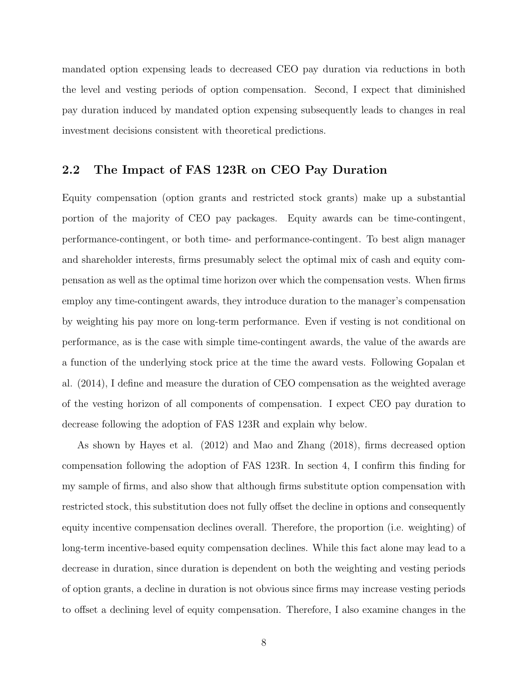mandated option expensing leads to decreased CEO pay duration via reductions in both the level and vesting periods of option compensation. Second, I expect that diminished pay duration induced by mandated option expensing subsequently leads to changes in real investment decisions consistent with theoretical predictions.

### 2.2 The Impact of FAS 123R on CEO Pay Duration

Equity compensation (option grants and restricted stock grants) make up a substantial portion of the majority of CEO pay packages. Equity awards can be time-contingent, performance-contingent, or both time- and performance-contingent. To best align manager and shareholder interests, firms presumably select the optimal mix of cash and equity compensation as well as the optimal time horizon over which the compensation vests. When firms employ any time-contingent awards, they introduce duration to the manager's compensation by weighting his pay more on long-term performance. Even if vesting is not conditional on performance, as is the case with simple time-contingent awards, the value of the awards are a function of the underlying stock price at the time the award vests. Following Gopalan et al. (2014), I define and measure the duration of CEO compensation as the weighted average of the vesting horizon of all components of compensation. I expect CEO pay duration to decrease following the adoption of FAS 123R and explain why below.

As shown by Hayes et al. (2012) and Mao and Zhang (2018), firms decreased option compensation following the adoption of FAS 123R. In section 4, I confirm this finding for my sample of firms, and also show that although firms substitute option compensation with restricted stock, this substitution does not fully offset the decline in options and consequently equity incentive compensation declines overall. Therefore, the proportion (i.e. weighting) of long-term incentive-based equity compensation declines. While this fact alone may lead to a decrease in duration, since duration is dependent on both the weighting and vesting periods of option grants, a decline in duration is not obvious since firms may increase vesting periods to offset a declining level of equity compensation. Therefore, I also examine changes in the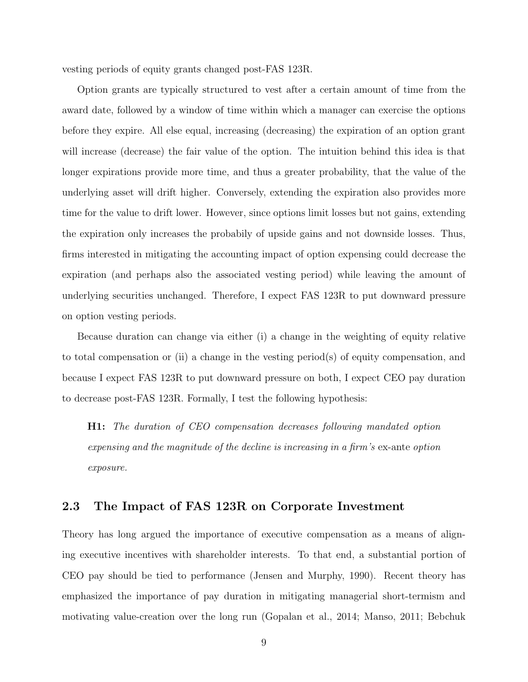vesting periods of equity grants changed post-FAS 123R.

Option grants are typically structured to vest after a certain amount of time from the award date, followed by a window of time within which a manager can exercise the options before they expire. All else equal, increasing (decreasing) the expiration of an option grant will increase (decrease) the fair value of the option. The intuition behind this idea is that longer expirations provide more time, and thus a greater probability, that the value of the underlying asset will drift higher. Conversely, extending the expiration also provides more time for the value to drift lower. However, since options limit losses but not gains, extending the expiration only increases the probabily of upside gains and not downside losses. Thus, firms interested in mitigating the accounting impact of option expensing could decrease the expiration (and perhaps also the associated vesting period) while leaving the amount of underlying securities unchanged. Therefore, I expect FAS 123R to put downward pressure on option vesting periods.

Because duration can change via either (i) a change in the weighting of equity relative to total compensation or (ii) a change in the vesting period(s) of equity compensation, and because I expect FAS 123R to put downward pressure on both, I expect CEO pay duration to decrease post-FAS 123R. Formally, I test the following hypothesis:

H1: The duration of CEO compensation decreases following mandated option expensing and the magnitude of the decline is increasing in a firm's ex-ante option exposure.

## 2.3 The Impact of FAS 123R on Corporate Investment

Theory has long argued the importance of executive compensation as a means of aligning executive incentives with shareholder interests. To that end, a substantial portion of CEO pay should be tied to performance (Jensen and Murphy, 1990). Recent theory has emphasized the importance of pay duration in mitigating managerial short-termism and motivating value-creation over the long run (Gopalan et al., 2014; Manso, 2011; Bebchuk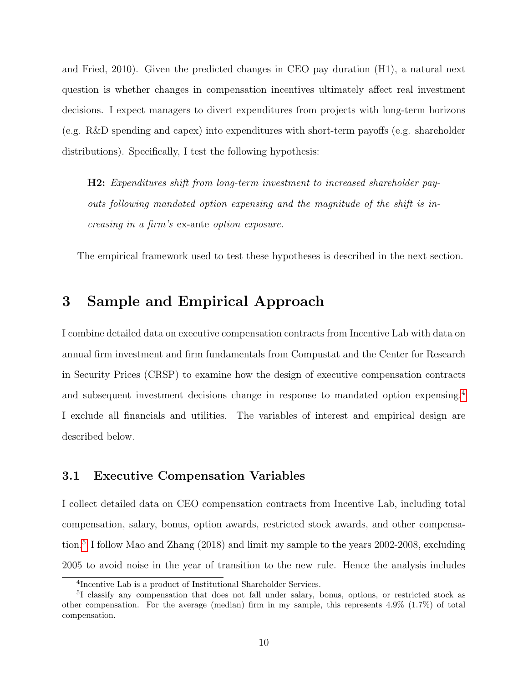and Fried, 2010). Given the predicted changes in CEO pay duration (H1), a natural next question is whether changes in compensation incentives ultimately affect real investment decisions. I expect managers to divert expenditures from projects with long-term horizons (e.g. R&D spending and capex) into expenditures with short-term payoffs (e.g. shareholder distributions). Specifically, I test the following hypothesis:

H2: Expenditures shift from long-term investment to increased shareholder payouts following mandated option expensing and the magnitude of the shift is increasing in a firm's ex-ante option exposure.

The empirical framework used to test these hypotheses is described in the next section.

## 3 Sample and Empirical Approach

I combine detailed data on executive compensation contracts from Incentive Lab with data on annual firm investment and firm fundamentals from Compustat and the Center for Research in Security Prices (CRSP) to examine how the design of executive compensation contracts and subsequent investment decisions change in response to mandated option expensing.[4](#page-10-0) I exclude all financials and utilities. The variables of interest and empirical design are described below.

#### 3.1 Executive Compensation Variables

I collect detailed data on CEO compensation contracts from Incentive Lab, including total compensation, salary, bonus, option awards, restricted stock awards, and other compensation.[5](#page-10-1) I follow Mao and Zhang (2018) and limit my sample to the years 2002-2008, excluding 2005 to avoid noise in the year of transition to the new rule. Hence the analysis includes

<span id="page-10-1"></span><span id="page-10-0"></span><sup>4</sup> Incentive Lab is a product of Institutional Shareholder Services.

<sup>5</sup> I classify any compensation that does not fall under salary, bonus, options, or restricted stock as other compensation. For the average (median) firm in my sample, this represents 4.9%  $(1.7\%)$  of total compensation.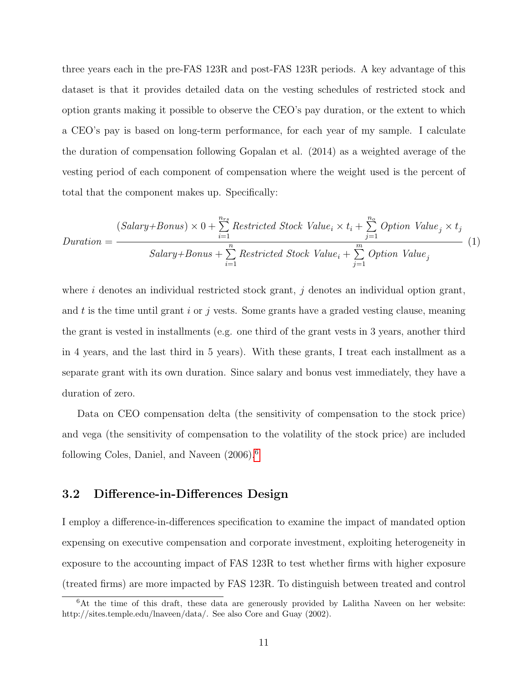three years each in the pre-FAS 123R and post-FAS 123R periods. A key advantage of this dataset is that it provides detailed data on the vesting schedules of restricted stock and option grants making it possible to observe the CEO's pay duration, or the extent to which a CEO's pay is based on long-term performance, for each year of my sample. I calculate the duration of compensation following Gopalan et al. (2014) as a weighted average of the vesting period of each component of compensation where the weight used is the percent of total that the component makes up. Specifically:

$$
Duration = \frac{(Salary + Bonus) \times 0 + \sum_{i=1}^{n_{rs}} Restricted Stock Value_i \times t_i + \sum_{j=1}^{n_o} Option Value_j \times t_j}{Salary + Bonus + \sum_{i=1}^{n} Restricted Stock Value_i + \sum_{j=1}^{m} Option Value_j}
$$
 (1)

where i denotes an individual restricted stock grant,  $j$  denotes an individual option grant, and t is the time until grant i or j vests. Some grants have a graded vesting clause, meaning the grant is vested in installments (e.g. one third of the grant vests in 3 years, another third in 4 years, and the last third in 5 years). With these grants, I treat each installment as a separate grant with its own duration. Since salary and bonus vest immediately, they have a duration of zero.

Data on CEO compensation delta (the sensitivity of compensation to the stock price) and vega (the sensitivity of compensation to the volatility of the stock price) are included following Coles, Daniel, and Naveen (2006).[6](#page-11-0)

#### 3.2 Difference-in-Differences Design

I employ a difference-in-differences specification to examine the impact of mandated option expensing on executive compensation and corporate investment, exploiting heterogeneity in exposure to the accounting impact of FAS 123R to test whether firms with higher exposure (treated firms) are more impacted by FAS 123R. To distinguish between treated and control

<span id="page-11-0"></span><sup>&</sup>lt;sup>6</sup>At the time of this draft, these data are generously provided by Lalitha Naveen on her website: http://sites.temple.edu/lnaveen/data/. See also Core and Guay (2002).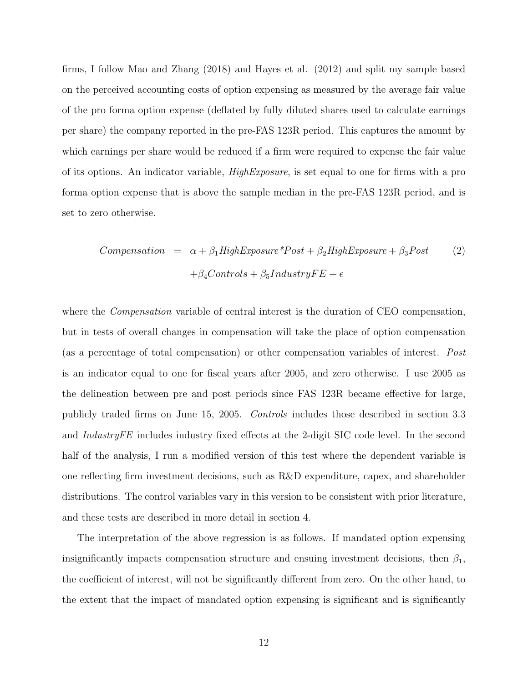firms, I follow Mao and Zhang (2018) and Hayes et al. (2012) and split my sample based on the perceived accounting costs of option expensing as measured by the average fair value of the pro forma option expense (deflated by fully diluted shares used to calculate earnings per share) the company reported in the pre-FAS 123R period. This captures the amount by which earnings per share would be reduced if a firm were required to expense the fair value of its options. An indicator variable, HighExposure, is set equal to one for firms with a pro forma option expense that is above the sample median in the pre-FAS 123R period, and is set to zero otherwise.

$$
Compensation = \alpha + \beta_1 High Exposure * Post + \beta_2 High Exposure + \beta_3 Post
$$
  
+
$$
\beta_4 Controls + \beta_5 IndustryFE + \epsilon
$$
 (2)

where the *Compensation* variable of central interest is the duration of CEO compensation, but in tests of overall changes in compensation will take the place of option compensation (as a percentage of total compensation) or other compensation variables of interest. Post is an indicator equal to one for fiscal years after 2005, and zero otherwise. I use 2005 as the delineation between pre and post periods since FAS 123R became effective for large, publicly traded firms on June 15, 2005. Controls includes those described in section 3.3 and IndustryFE includes industry fixed effects at the 2-digit SIC code level. In the second half of the analysis, I run a modified version of this test where the dependent variable is one reflecting firm investment decisions, such as R&D expenditure, capex, and shareholder distributions. The control variables vary in this version to be consistent with prior literature, and these tests are described in more detail in section 4.

The interpretation of the above regression is as follows. If mandated option expensing insignificantly impacts compensation structure and ensuing investment decisions, then  $\beta_1$ , the coefficient of interest, will not be significantly different from zero. On the other hand, to the extent that the impact of mandated option expensing is significant and is significantly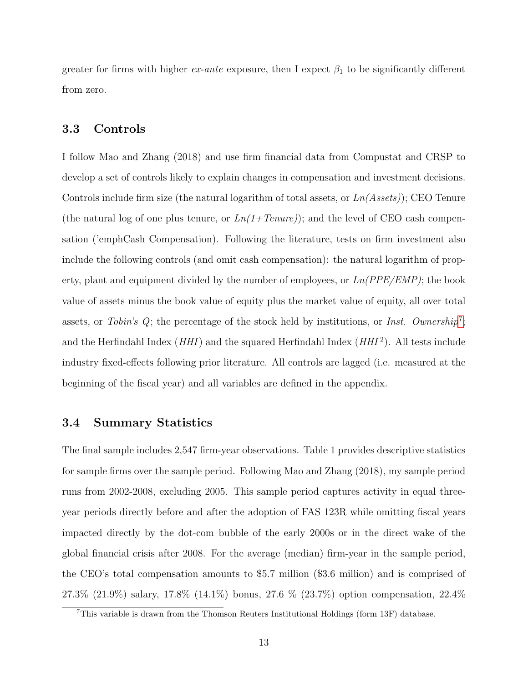greater for firms with higher ex-ante exposure, then I expect  $\beta_1$  to be significantly different from zero.

#### 3.3 Controls

I follow Mao and Zhang (2018) and use firm financial data from Compustat and CRSP to develop a set of controls likely to explain changes in compensation and investment decisions. Controls include firm size (the natural logarithm of total assets, or  $Ln(A \text{ssets})$ ); CEO Tenure (the natural log of one plus tenure, or  $Ln(1+Tenure)$ ); and the level of CEO cash compensation ('emphCash Compensation). Following the literature, tests on firm investment also include the following controls (and omit cash compensation): the natural logarithm of property, plant and equipment divided by the number of employees, or  $Ln(PPE/EMP)$ ; the book value of assets minus the book value of equity plus the market value of equity, all over total assets, or Tobin's  $Q$ ; the percentage of the stock held by institutions, or Inst. Ownership<sup>[7](#page-13-0)</sup>; and the Herfindahl Index ( $HHI$ ) and the squared Herfindahl Index ( $HHI<sup>2</sup>$ ). All tests include industry fixed-effects following prior literature. All controls are lagged (i.e. measured at the beginning of the fiscal year) and all variables are defined in the appendix.

#### 3.4 Summary Statistics

The final sample includes 2,547 firm-year observations. Table 1 provides descriptive statistics for sample firms over the sample period. Following Mao and Zhang (2018), my sample period runs from 2002-2008, excluding 2005. This sample period captures activity in equal threeyear periods directly before and after the adoption of FAS 123R while omitting fiscal years impacted directly by the dot-com bubble of the early 2000s or in the direct wake of the global financial crisis after 2008. For the average (median) firm-year in the sample period, the CEO's total compensation amounts to \$5.7 million (\$3.6 million) and is comprised of 27.3% (21.9%) salary, 17.8% (14.1%) bonus, 27.6 % (23.7%) option compensation, 22.4%

<span id="page-13-0"></span><sup>7</sup>This variable is drawn from the Thomson Reuters Institutional Holdings (form 13F) database.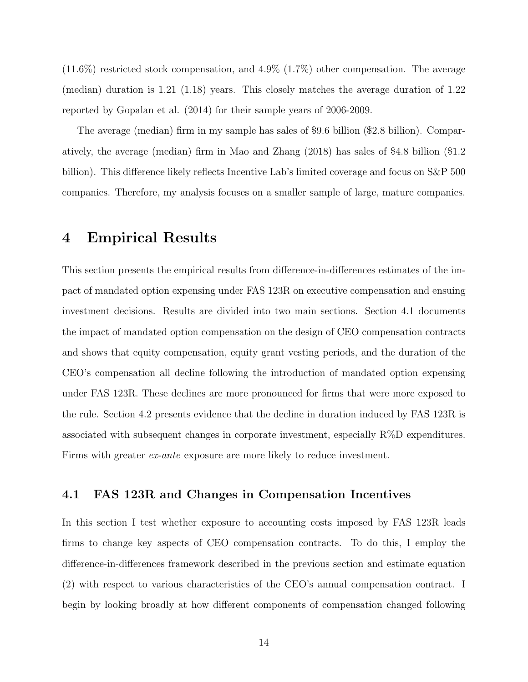(11.6%) restricted stock compensation, and 4.9% (1.7%) other compensation. The average (median) duration is 1.21 (1.18) years. This closely matches the average duration of 1.22 reported by Gopalan et al. (2014) for their sample years of 2006-2009.

The average (median) firm in my sample has sales of \$9.6 billion (\$2.8 billion). Comparatively, the average (median) firm in Mao and Zhang (2018) has sales of \$4.8 billion (\$1.2 billion). This difference likely reflects Incentive Lab's limited coverage and focus on S&P 500 companies. Therefore, my analysis focuses on a smaller sample of large, mature companies.

## 4 Empirical Results

This section presents the empirical results from difference-in-differences estimates of the impact of mandated option expensing under FAS 123R on executive compensation and ensuing investment decisions. Results are divided into two main sections. Section 4.1 documents the impact of mandated option compensation on the design of CEO compensation contracts and shows that equity compensation, equity grant vesting periods, and the duration of the CEO's compensation all decline following the introduction of mandated option expensing under FAS 123R. These declines are more pronounced for firms that were more exposed to the rule. Section 4.2 presents evidence that the decline in duration induced by FAS 123R is associated with subsequent changes in corporate investment, especially R%D expenditures. Firms with greater ex-ante exposure are more likely to reduce investment.

## 4.1 FAS 123R and Changes in Compensation Incentives

In this section I test whether exposure to accounting costs imposed by FAS 123R leads firms to change key aspects of CEO compensation contracts. To do this, I employ the difference-in-differences framework described in the previous section and estimate equation (2) with respect to various characteristics of the CEO's annual compensation contract. I begin by looking broadly at how different components of compensation changed following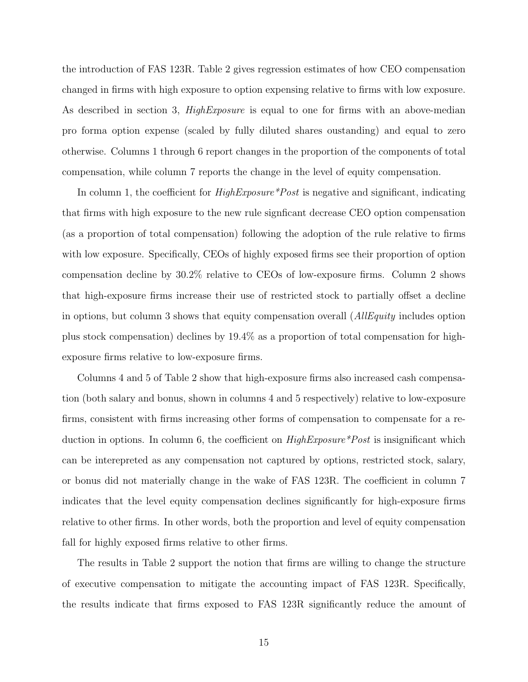the introduction of FAS 123R. Table 2 gives regression estimates of how CEO compensation changed in firms with high exposure to option expensing relative to firms with low exposure. As described in section 3, *HighExposure* is equal to one for firms with an above-median pro forma option expense (scaled by fully diluted shares oustanding) and equal to zero otherwise. Columns 1 through 6 report changes in the proportion of the components of total compensation, while column 7 reports the change in the level of equity compensation.

In column 1, the coefficient for  $HighExposure*Post$  is negative and significant, indicating that firms with high exposure to the new rule signficant decrease CEO option compensation (as a proportion of total compensation) following the adoption of the rule relative to firms with low exposure. Specifically, CEOs of highly exposed firms see their proportion of option compensation decline by 30.2% relative to CEOs of low-exposure firms. Column 2 shows that high-exposure firms increase their use of restricted stock to partially offset a decline in options, but column 3 shows that equity compensation overall (*AllEquity* includes option plus stock compensation) declines by 19.4% as a proportion of total compensation for highexposure firms relative to low-exposure firms.

Columns 4 and 5 of Table 2 show that high-exposure firms also increased cash compensation (both salary and bonus, shown in columns 4 and 5 respectively) relative to low-exposure firms, consistent with firms increasing other forms of compensation to compensate for a reduction in options. In column 6, the coefficient on *HighExposure*\**Post* is insignificant which can be interepreted as any compensation not captured by options, restricted stock, salary, or bonus did not materially change in the wake of FAS 123R. The coefficient in column 7 indicates that the level equity compensation declines significantly for high-exposure firms relative to other firms. In other words, both the proportion and level of equity compensation fall for highly exposed firms relative to other firms.

The results in Table 2 support the notion that firms are willing to change the structure of executive compensation to mitigate the accounting impact of FAS 123R. Specifically, the results indicate that firms exposed to FAS 123R significantly reduce the amount of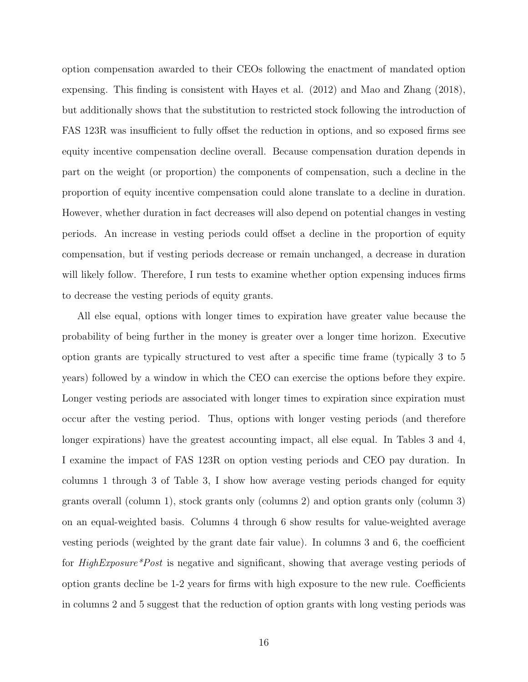option compensation awarded to their CEOs following the enactment of mandated option expensing. This finding is consistent with Hayes et al. (2012) and Mao and Zhang (2018), but additionally shows that the substitution to restricted stock following the introduction of FAS 123R was insufficient to fully offset the reduction in options, and so exposed firms see equity incentive compensation decline overall. Because compensation duration depends in part on the weight (or proportion) the components of compensation, such a decline in the proportion of equity incentive compensation could alone translate to a decline in duration. However, whether duration in fact decreases will also depend on potential changes in vesting periods. An increase in vesting periods could offset a decline in the proportion of equity compensation, but if vesting periods decrease or remain unchanged, a decrease in duration will likely follow. Therefore, I run tests to examine whether option expensing induces firms to decrease the vesting periods of equity grants.

All else equal, options with longer times to expiration have greater value because the probability of being further in the money is greater over a longer time horizon. Executive option grants are typically structured to vest after a specific time frame (typically 3 to 5 years) followed by a window in which the CEO can exercise the options before they expire. Longer vesting periods are associated with longer times to expiration since expiration must occur after the vesting period. Thus, options with longer vesting periods (and therefore longer expirations) have the greatest accounting impact, all else equal. In Tables 3 and 4, I examine the impact of FAS 123R on option vesting periods and CEO pay duration. In columns 1 through 3 of Table 3, I show how average vesting periods changed for equity grants overall (column 1), stock grants only (columns 2) and option grants only (column 3) on an equal-weighted basis. Columns 4 through 6 show results for value-weighted average vesting periods (weighted by the grant date fair value). In columns 3 and 6, the coefficient for HighExposure\*Post is negative and significant, showing that average vesting periods of option grants decline be 1-2 years for firms with high exposure to the new rule. Coefficients in columns 2 and 5 suggest that the reduction of option grants with long vesting periods was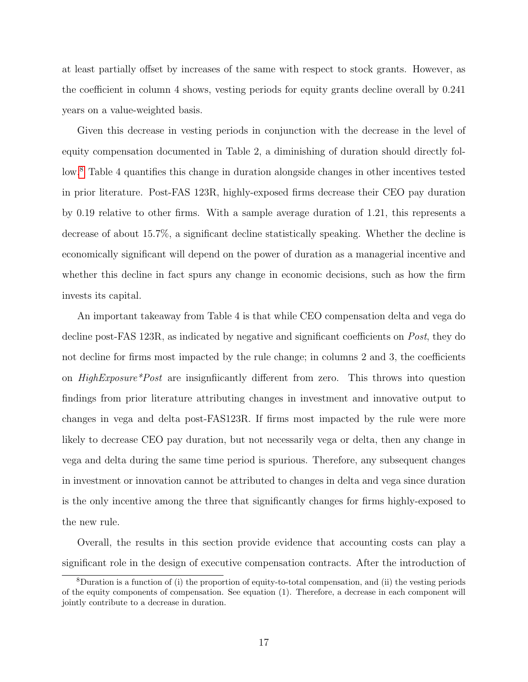at least partially offset by increases of the same with respect to stock grants. However, as the coefficient in column 4 shows, vesting periods for equity grants decline overall by 0.241 years on a value-weighted basis.

Given this decrease in vesting periods in conjunction with the decrease in the level of equity compensation documented in Table 2, a diminishing of duration should directly follow.[8](#page-17-0) Table 4 quantifies this change in duration alongside changes in other incentives tested in prior literature. Post-FAS 123R, highly-exposed firms decrease their CEO pay duration by 0.19 relative to other firms. With a sample average duration of 1.21, this represents a decrease of about 15.7%, a significant decline statistically speaking. Whether the decline is economically significant will depend on the power of duration as a managerial incentive and whether this decline in fact spurs any change in economic decisions, such as how the firm invests its capital.

An important takeaway from Table 4 is that while CEO compensation delta and vega do decline post-FAS 123R, as indicated by negative and significant coefficients on *Post*, they do not decline for firms most impacted by the rule change; in columns 2 and 3, the coefficients on *HighExposure\*Post* are insignificantly different from zero. This throws into question findings from prior literature attributing changes in investment and innovative output to changes in vega and delta post-FAS123R. If firms most impacted by the rule were more likely to decrease CEO pay duration, but not necessarily vega or delta, then any change in vega and delta during the same time period is spurious. Therefore, any subsequent changes in investment or innovation cannot be attributed to changes in delta and vega since duration is the only incentive among the three that significantly changes for firms highly-exposed to the new rule.

Overall, the results in this section provide evidence that accounting costs can play a significant role in the design of executive compensation contracts. After the introduction of

<span id="page-17-0"></span><sup>8</sup>Duration is a function of (i) the proportion of equity-to-total compensation, and (ii) the vesting periods of the equity components of compensation. See equation (1). Therefore, a decrease in each component will jointly contribute to a decrease in duration.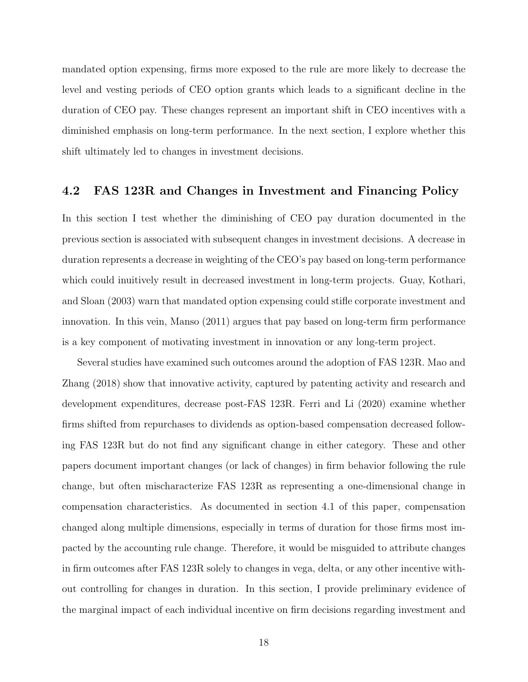mandated option expensing, firms more exposed to the rule are more likely to decrease the level and vesting periods of CEO option grants which leads to a significant decline in the duration of CEO pay. These changes represent an important shift in CEO incentives with a diminished emphasis on long-term performance. In the next section, I explore whether this shift ultimately led to changes in investment decisions.

## 4.2 FAS 123R and Changes in Investment and Financing Policy

In this section I test whether the diminishing of CEO pay duration documented in the previous section is associated with subsequent changes in investment decisions. A decrease in duration represents a decrease in weighting of the CEO's pay based on long-term performance which could inuitively result in decreased investment in long-term projects. Guay, Kothari, and Sloan (2003) warn that mandated option expensing could stifle corporate investment and innovation. In this vein, Manso (2011) argues that pay based on long-term firm performance is a key component of motivating investment in innovation or any long-term project.

Several studies have examined such outcomes around the adoption of FAS 123R. Mao and Zhang (2018) show that innovative activity, captured by patenting activity and research and development expenditures, decrease post-FAS 123R. Ferri and Li (2020) examine whether firms shifted from repurchases to dividends as option-based compensation decreased following FAS 123R but do not find any significant change in either category. These and other papers document important changes (or lack of changes) in firm behavior following the rule change, but often mischaracterize FAS 123R as representing a one-dimensional change in compensation characteristics. As documented in section 4.1 of this paper, compensation changed along multiple dimensions, especially in terms of duration for those firms most impacted by the accounting rule change. Therefore, it would be misguided to attribute changes in firm outcomes after FAS 123R solely to changes in vega, delta, or any other incentive without controlling for changes in duration. In this section, I provide preliminary evidence of the marginal impact of each individual incentive on firm decisions regarding investment and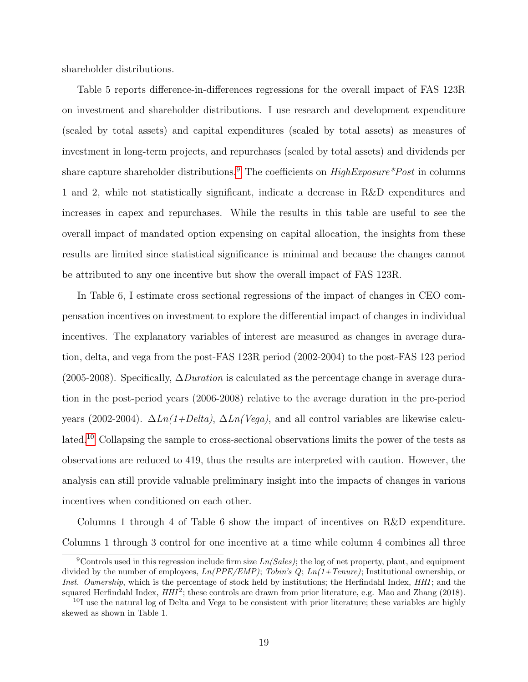shareholder distributions.

Table 5 reports difference-in-differences regressions for the overall impact of FAS 123R on investment and shareholder distributions. I use research and development expenditure (scaled by total assets) and capital expenditures (scaled by total assets) as measures of investment in long-term projects, and repurchases (scaled by total assets) and dividends per share capture shareholder distributions.<sup>[9](#page-19-0)</sup> The coefficients on  $HighExposure * Post$  in columns 1 and 2, while not statistically significant, indicate a decrease in R&D expenditures and increases in capex and repurchases. While the results in this table are useful to see the overall impact of mandated option expensing on capital allocation, the insights from these results are limited since statistical significance is minimal and because the changes cannot be attributed to any one incentive but show the overall impact of FAS 123R.

In Table 6, I estimate cross sectional regressions of the impact of changes in CEO compensation incentives on investment to explore the differential impact of changes in individual incentives. The explanatory variables of interest are measured as changes in average duration, delta, and vega from the post-FAS 123R period (2002-2004) to the post-FAS 123 period (2005-2008). Specifically,  $\Delta$ *Duration* is calculated as the percentage change in average duration in the post-period years (2006-2008) relative to the average duration in the pre-period years (2002-2004).  $\Delta Ln(1+Delta)$ ,  $\Delta Ln(Vega)$ , and all control variables are likewise calculated.[10](#page-19-1) Collapsing the sample to cross-sectional observations limits the power of the tests as observations are reduced to 419, thus the results are interpreted with caution. However, the analysis can still provide valuable preliminary insight into the impacts of changes in various incentives when conditioned on each other.

Columns 1 through 4 of Table 6 show the impact of incentives on R&D expenditure. Columns 1 through 3 control for one incentive at a time while column 4 combines all three

<span id="page-19-0"></span><sup>&</sup>lt;sup>9</sup>Controls used in this regression include firm size  $Ln(Sales)$ ; the log of net property, plant, and equipment divided by the number of employees,  $Ln(PPE/EMP)$ ; Tobin's  $Q$ ;  $Ln(1+Tenure)$ ; Institutional ownership, or Inst. Ownership, which is the percentage of stock held by institutions; the Herfindahl Index, HHI; and the squared Herfindahl Index,  $HHI^2$ ; these controls are drawn from prior literature, e.g. Mao and Zhang (2018).

<span id="page-19-1"></span> $10<sup>I</sup>$  use the natural log of Delta and Vega to be consistent with prior literature; these variables are highly skewed as shown in Table 1.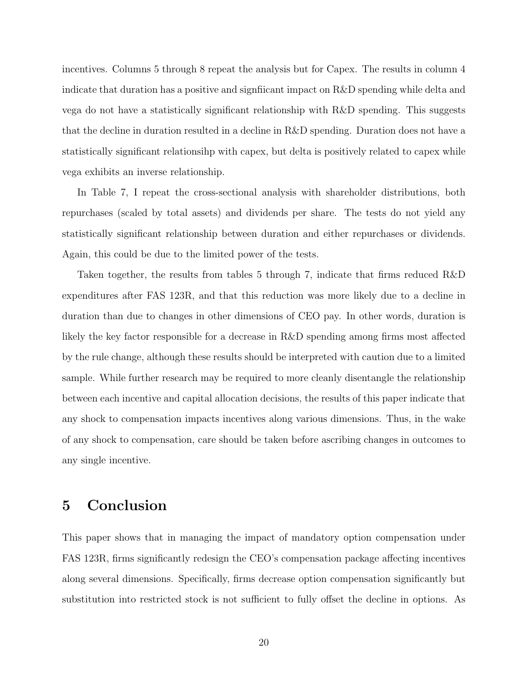incentives. Columns 5 through 8 repeat the analysis but for Capex. The results in column 4 indicate that duration has a positive and signfiicant impact on R&D spending while delta and vega do not have a statistically significant relationship with R&D spending. This suggests that the decline in duration resulted in a decline in R&D spending. Duration does not have a statistically significant relationsihp with capex, but delta is positively related to capex while vega exhibits an inverse relationship.

In Table 7, I repeat the cross-sectional analysis with shareholder distributions, both repurchases (scaled by total assets) and dividends per share. The tests do not yield any statistically significant relationship between duration and either repurchases or dividends. Again, this could be due to the limited power of the tests.

Taken together, the results from tables 5 through 7, indicate that firms reduced R&D expenditures after FAS 123R, and that this reduction was more likely due to a decline in duration than due to changes in other dimensions of CEO pay. In other words, duration is likely the key factor responsible for a decrease in R&D spending among firms most affected by the rule change, although these results should be interpreted with caution due to a limited sample. While further research may be required to more cleanly disentangle the relationship between each incentive and capital allocation decisions, the results of this paper indicate that any shock to compensation impacts incentives along various dimensions. Thus, in the wake of any shock to compensation, care should be taken before ascribing changes in outcomes to any single incentive.

# 5 Conclusion

This paper shows that in managing the impact of mandatory option compensation under FAS 123R, firms significantly redesign the CEO's compensation package affecting incentives along several dimensions. Specifically, firms decrease option compensation significantly but substitution into restricted stock is not sufficient to fully offset the decline in options. As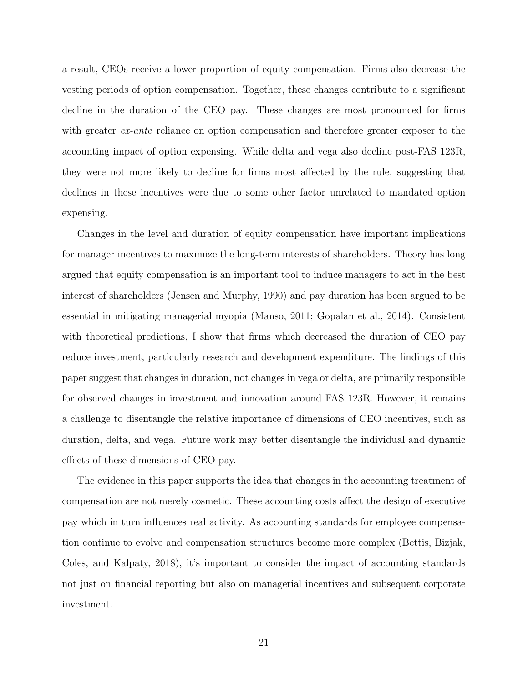a result, CEOs receive a lower proportion of equity compensation. Firms also decrease the vesting periods of option compensation. Together, these changes contribute to a significant decline in the duration of the CEO pay. These changes are most pronounced for firms with greater *ex-ante* reliance on option compensation and therefore greater exposer to the accounting impact of option expensing. While delta and vega also decline post-FAS 123R, they were not more likely to decline for firms most affected by the rule, suggesting that declines in these incentives were due to some other factor unrelated to mandated option expensing.

Changes in the level and duration of equity compensation have important implications for manager incentives to maximize the long-term interests of shareholders. Theory has long argued that equity compensation is an important tool to induce managers to act in the best interest of shareholders (Jensen and Murphy, 1990) and pay duration has been argued to be essential in mitigating managerial myopia (Manso, 2011; Gopalan et al., 2014). Consistent with theoretical predictions, I show that firms which decreased the duration of CEO pay reduce investment, particularly research and development expenditure. The findings of this paper suggest that changes in duration, not changes in vega or delta, are primarily responsible for observed changes in investment and innovation around FAS 123R. However, it remains a challenge to disentangle the relative importance of dimensions of CEO incentives, such as duration, delta, and vega. Future work may better disentangle the individual and dynamic effects of these dimensions of CEO pay.

The evidence in this paper supports the idea that changes in the accounting treatment of compensation are not merely cosmetic. These accounting costs affect the design of executive pay which in turn influences real activity. As accounting standards for employee compensation continue to evolve and compensation structures become more complex (Bettis, Bizjak, Coles, and Kalpaty, 2018), it's important to consider the impact of accounting standards not just on financial reporting but also on managerial incentives and subsequent corporate investment.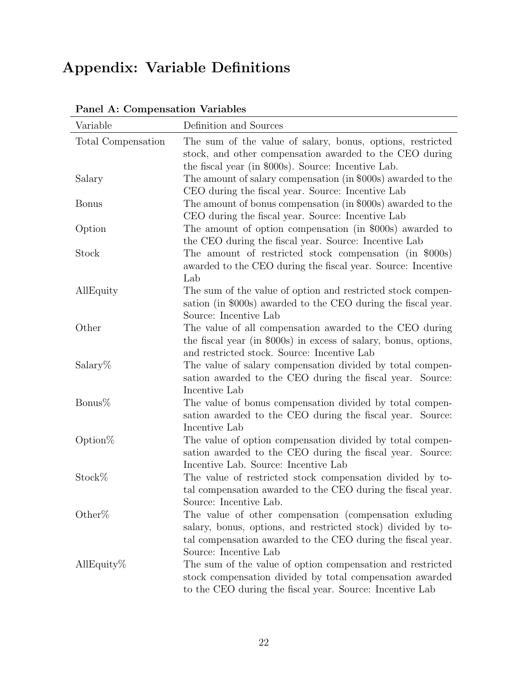# Appendix: Variable Definitions

| Total Compensation<br>The sum of the value of salary, bonus, options, restricted<br>stock, and other compensation awarded to the CEO during<br>the fiscal year (in \$000s). Source: Incentive Lab.<br>The amount of salary compensation (in \$000s) awarded to the<br>Salary<br>CEO during the fiscal year. Source: Incentive Lab<br>The amount of bonus compensation (in \$000s) awarded to the<br><b>Bonus</b><br>CEO during the fiscal year. Source: Incentive Lab<br>Option<br>The amount of option compensation (in \$000s) awarded to<br>the CEO during the fiscal year. Source: Incentive Lab<br>Stock<br>The amount of restricted stock compensation (in \$000s)<br>awarded to the CEO during the fiscal year. Source: Incentive<br>Lab<br>AllEquity<br>The sum of the value of option and restricted stock compen-<br>sation (in \$000s) awarded to the CEO during the fiscal year.<br>Source: Incentive Lab<br>Other<br>The value of all compensation awarded to the CEO during<br>the fiscal year (in \$000s) in excess of salary, bonus, options,<br>and restricted stock. Source: Incentive Lab<br>$Salary\%$<br>The value of salary compensation divided by total compen-<br>sation awarded to the CEO during the fiscal year. Source:<br>Incentive Lab<br>Bonus $%$<br>The value of bonus compensation divided by total compen- |
|------------------------------------------------------------------------------------------------------------------------------------------------------------------------------------------------------------------------------------------------------------------------------------------------------------------------------------------------------------------------------------------------------------------------------------------------------------------------------------------------------------------------------------------------------------------------------------------------------------------------------------------------------------------------------------------------------------------------------------------------------------------------------------------------------------------------------------------------------------------------------------------------------------------------------------------------------------------------------------------------------------------------------------------------------------------------------------------------------------------------------------------------------------------------------------------------------------------------------------------------------------------------------------------------------------------------------------------------|
|                                                                                                                                                                                                                                                                                                                                                                                                                                                                                                                                                                                                                                                                                                                                                                                                                                                                                                                                                                                                                                                                                                                                                                                                                                                                                                                                                |
|                                                                                                                                                                                                                                                                                                                                                                                                                                                                                                                                                                                                                                                                                                                                                                                                                                                                                                                                                                                                                                                                                                                                                                                                                                                                                                                                                |
|                                                                                                                                                                                                                                                                                                                                                                                                                                                                                                                                                                                                                                                                                                                                                                                                                                                                                                                                                                                                                                                                                                                                                                                                                                                                                                                                                |
|                                                                                                                                                                                                                                                                                                                                                                                                                                                                                                                                                                                                                                                                                                                                                                                                                                                                                                                                                                                                                                                                                                                                                                                                                                                                                                                                                |
|                                                                                                                                                                                                                                                                                                                                                                                                                                                                                                                                                                                                                                                                                                                                                                                                                                                                                                                                                                                                                                                                                                                                                                                                                                                                                                                                                |
|                                                                                                                                                                                                                                                                                                                                                                                                                                                                                                                                                                                                                                                                                                                                                                                                                                                                                                                                                                                                                                                                                                                                                                                                                                                                                                                                                |
|                                                                                                                                                                                                                                                                                                                                                                                                                                                                                                                                                                                                                                                                                                                                                                                                                                                                                                                                                                                                                                                                                                                                                                                                                                                                                                                                                |
|                                                                                                                                                                                                                                                                                                                                                                                                                                                                                                                                                                                                                                                                                                                                                                                                                                                                                                                                                                                                                                                                                                                                                                                                                                                                                                                                                |
|                                                                                                                                                                                                                                                                                                                                                                                                                                                                                                                                                                                                                                                                                                                                                                                                                                                                                                                                                                                                                                                                                                                                                                                                                                                                                                                                                |
|                                                                                                                                                                                                                                                                                                                                                                                                                                                                                                                                                                                                                                                                                                                                                                                                                                                                                                                                                                                                                                                                                                                                                                                                                                                                                                                                                |
|                                                                                                                                                                                                                                                                                                                                                                                                                                                                                                                                                                                                                                                                                                                                                                                                                                                                                                                                                                                                                                                                                                                                                                                                                                                                                                                                                |
|                                                                                                                                                                                                                                                                                                                                                                                                                                                                                                                                                                                                                                                                                                                                                                                                                                                                                                                                                                                                                                                                                                                                                                                                                                                                                                                                                |
|                                                                                                                                                                                                                                                                                                                                                                                                                                                                                                                                                                                                                                                                                                                                                                                                                                                                                                                                                                                                                                                                                                                                                                                                                                                                                                                                                |
|                                                                                                                                                                                                                                                                                                                                                                                                                                                                                                                                                                                                                                                                                                                                                                                                                                                                                                                                                                                                                                                                                                                                                                                                                                                                                                                                                |
|                                                                                                                                                                                                                                                                                                                                                                                                                                                                                                                                                                                                                                                                                                                                                                                                                                                                                                                                                                                                                                                                                                                                                                                                                                                                                                                                                |
|                                                                                                                                                                                                                                                                                                                                                                                                                                                                                                                                                                                                                                                                                                                                                                                                                                                                                                                                                                                                                                                                                                                                                                                                                                                                                                                                                |
|                                                                                                                                                                                                                                                                                                                                                                                                                                                                                                                                                                                                                                                                                                                                                                                                                                                                                                                                                                                                                                                                                                                                                                                                                                                                                                                                                |
|                                                                                                                                                                                                                                                                                                                                                                                                                                                                                                                                                                                                                                                                                                                                                                                                                                                                                                                                                                                                                                                                                                                                                                                                                                                                                                                                                |
| sation awarded to the CEO during the fiscal year. Source:                                                                                                                                                                                                                                                                                                                                                                                                                                                                                                                                                                                                                                                                                                                                                                                                                                                                                                                                                                                                                                                                                                                                                                                                                                                                                      |
| Incentive Lab                                                                                                                                                                                                                                                                                                                                                                                                                                                                                                                                                                                                                                                                                                                                                                                                                                                                                                                                                                                                                                                                                                                                                                                                                                                                                                                                  |
| Option $%$<br>The value of option compensation divided by total compen-                                                                                                                                                                                                                                                                                                                                                                                                                                                                                                                                                                                                                                                                                                                                                                                                                                                                                                                                                                                                                                                                                                                                                                                                                                                                        |
| sation awarded to the CEO during the fiscal year. Source:                                                                                                                                                                                                                                                                                                                                                                                                                                                                                                                                                                                                                                                                                                                                                                                                                                                                                                                                                                                                                                                                                                                                                                                                                                                                                      |
| Incentive Lab. Source: Incentive Lab                                                                                                                                                                                                                                                                                                                                                                                                                                                                                                                                                                                                                                                                                                                                                                                                                                                                                                                                                                                                                                                                                                                                                                                                                                                                                                           |
| Stock%<br>The value of restricted stock compensation divided by to-                                                                                                                                                                                                                                                                                                                                                                                                                                                                                                                                                                                                                                                                                                                                                                                                                                                                                                                                                                                                                                                                                                                                                                                                                                                                            |
| tal compensation awarded to the CEO during the fiscal year.                                                                                                                                                                                                                                                                                                                                                                                                                                                                                                                                                                                                                                                                                                                                                                                                                                                                                                                                                                                                                                                                                                                                                                                                                                                                                    |
| Source: Incentive Lab.                                                                                                                                                                                                                                                                                                                                                                                                                                                                                                                                                                                                                                                                                                                                                                                                                                                                                                                                                                                                                                                                                                                                                                                                                                                                                                                         |
| Other%<br>The value of other compensation (compensation exluding                                                                                                                                                                                                                                                                                                                                                                                                                                                                                                                                                                                                                                                                                                                                                                                                                                                                                                                                                                                                                                                                                                                                                                                                                                                                               |
| salary, bonus, options, and restricted stock) divided by to-                                                                                                                                                                                                                                                                                                                                                                                                                                                                                                                                                                                                                                                                                                                                                                                                                                                                                                                                                                                                                                                                                                                                                                                                                                                                                   |
| tal compensation awarded to the CEO during the fiscal year.<br>Source: Incentive Lab                                                                                                                                                                                                                                                                                                                                                                                                                                                                                                                                                                                                                                                                                                                                                                                                                                                                                                                                                                                                                                                                                                                                                                                                                                                           |
| The sum of the value of option compensation and restricted<br>AllEquity $%$                                                                                                                                                                                                                                                                                                                                                                                                                                                                                                                                                                                                                                                                                                                                                                                                                                                                                                                                                                                                                                                                                                                                                                                                                                                                    |
| stock compensation divided by total compensation awarded                                                                                                                                                                                                                                                                                                                                                                                                                                                                                                                                                                                                                                                                                                                                                                                                                                                                                                                                                                                                                                                                                                                                                                                                                                                                                       |
| to the CEO during the fiscal year. Source: Incentive Lab                                                                                                                                                                                                                                                                                                                                                                                                                                                                                                                                                                                                                                                                                                                                                                                                                                                                                                                                                                                                                                                                                                                                                                                                                                                                                       |

| Panel A: Compensation Variables |
|---------------------------------|
|---------------------------------|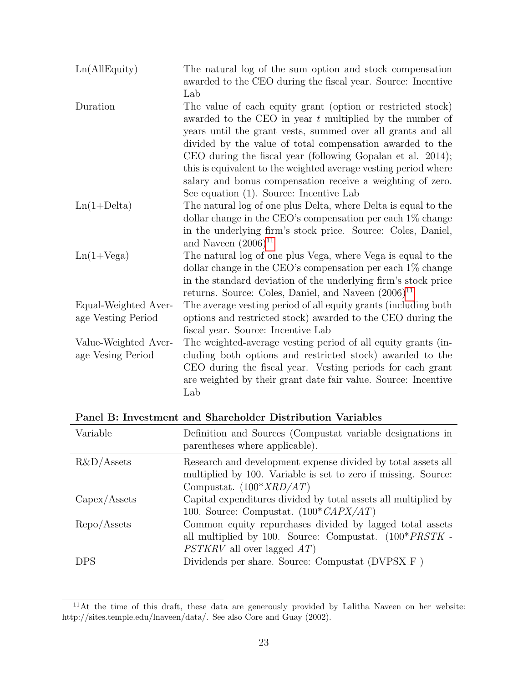| Ln(AIIEquity)                              | The natural log of the sum option and stock compensation<br>awarded to the CEO during the fiscal year. Source: Incentive                                                                                                                                          |
|--------------------------------------------|-------------------------------------------------------------------------------------------------------------------------------------------------------------------------------------------------------------------------------------------------------------------|
| Duration                                   | Lab<br>The value of each equity grant (option or restricted stock)<br>awarded to the CEO in year $t$ multiplied by the number of<br>years until the grant vests, summed over all grants and all                                                                   |
|                                            | divided by the value of total compensation awarded to the<br>CEO during the fiscal year (following Gopalan et al. 2014);                                                                                                                                          |
|                                            | this is equivalent to the weighted average vesting period where<br>salary and bonus compensation receive a weighting of zero.                                                                                                                                     |
|                                            | See equation (1). Source: Incentive Lab                                                                                                                                                                                                                           |
| $Ln(1+Delta)$                              | The natural log of one plus Delta, where Delta is equal to the                                                                                                                                                                                                    |
|                                            | dollar change in the CEO's compensation per each $1\%$ change<br>in the underlying firm's stock price. Source: Coles, Daniel,<br>and Naveen $(2006)^{11}$                                                                                                         |
| $Ln(1+Vega)$                               | The natural log of one plus Vega, where Vega is equal to the<br>dollar change in the CEO's compensation per each $1\%$ change<br>in the standard deviation of the underlying firm's stock price                                                                   |
|                                            | returns. Source: Coles, Daniel, and Naveen $(2006)^{11}$                                                                                                                                                                                                          |
| Equal-Weighted Aver-<br>age Vesting Period | The average vesting period of all equity grants (including both<br>options and restricted stock) awarded to the CEO during the<br>fiscal year. Source: Incentive Lab                                                                                              |
| Value-Weighted Aver-<br>age Vesing Period  | The weighted-average vesting period of all equity grants (in-<br>cluding both options and restricted stock) awarded to the<br>CEO during the fiscal year. Vesting periods for each grant<br>are weighted by their grant date fair value. Source: Incentive<br>Lab |

| Panel B: Investment and Shareholder Distribution Variables |  |  |  |
|------------------------------------------------------------|--|--|--|
|------------------------------------------------------------|--|--|--|

| Variable          | Definition and Sources (Compustat variable designations in<br>parentheses where applicable).                                                                |
|-------------------|-------------------------------------------------------------------------------------------------------------------------------------------------------------|
| $R&D/A$ ssets     | Research and development expense divided by total assets all<br>multiplied by 100. Variable is set to zero if missing. Source:<br>Compustat. $(100*XRD/AT)$ |
| Capex/Assets      | Capital expenditures divided by total assets all multiplied by<br>100. Source: Compustat. $(100^* \text{CAPX/AT})$                                          |
| $\rm Repo/Assets$ | Common equity repurchases divided by lagged total assets<br>all multiplied by 100. Source: Compustat. $(100*PRSTK -$<br>$PSTKRV$ all over lagged $AT$ )     |
| <b>DPS</b>        | Dividends per share. Source: Compustat (DVPSX_F)                                                                                                            |

 $11$ At the time of this draft, these data are generously provided by Lalitha Naveen on her website: http://sites.temple.edu/lnaveen/data/. See also Core and Guay (2002).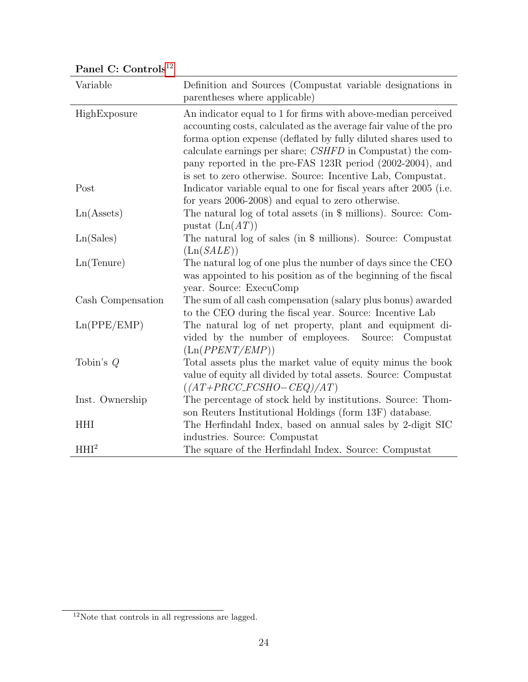| Variable            | Definition and Sources (Compustat variable designations in<br>parentheses where applicable)                                                                                                                                                                                                                                                                                                    |
|---------------------|------------------------------------------------------------------------------------------------------------------------------------------------------------------------------------------------------------------------------------------------------------------------------------------------------------------------------------------------------------------------------------------------|
| HighExposure        | An indicator equal to 1 for firms with above-median perceived<br>accounting costs, calculated as the average fair value of the pro<br>forma option expense (deflated by fully diluted shares used to<br>calculate earnings per share; CSHFD in Compustat) the com-<br>pany reported in the pre-FAS 123R period (2002-2004), and<br>is set to zero otherwise. Source: Incentive Lab, Compustat. |
| Post                | Indicator variable equal to one for fiscal years after 2005 (i.e.<br>for years 2006-2008) and equal to zero otherwise.                                                                                                                                                                                                                                                                         |
| Ln(A <sub>s</sub> ) | The natural log of total assets (in \$ millions). Source: Com-<br>pustat $(Ln(AT))$                                                                                                                                                                                                                                                                                                            |
| Ln(Sales)           | The natural log of sales (in \$ millions). Source: Compustat<br>(Ln(SALE))                                                                                                                                                                                                                                                                                                                     |
| Ln(Tenure)          | The natural log of one plus the number of days since the CEO<br>was appointed to his position as of the beginning of the fiscal<br>year. Source: ExecuComp                                                                                                                                                                                                                                     |
| Cash Compensation   | The sum of all cash compensation (salary plus bonus) awarded<br>to the CEO during the fiscal year. Source: Incentive Lab                                                                                                                                                                                                                                                                       |
| Ln(PPE/EMP)         | The natural log of net property, plant and equipment di-<br>vided by the number of employees. Source: Compustat<br>(Ln(PPENT/EMP))                                                                                                                                                                                                                                                             |
| Tobin's $Q$         | Total assets plus the market value of equity minus the book<br>value of equity all divided by total assets. Source: Compustat<br>$((AT+PRCC\_FCSHO-CEQ)/AT)$                                                                                                                                                                                                                                   |
| Inst. Ownership     | The percentage of stock held by institutions. Source: Thom-<br>son Reuters Institutional Holdings (form 13F) database.                                                                                                                                                                                                                                                                         |
| <b>HHI</b>          | The Herfindahl Index, based on annual sales by 2-digit SIC<br>industries. Source: Compustat                                                                                                                                                                                                                                                                                                    |
| HHI <sup>2</sup>    | The square of the Herfindahl Index. Source: Compustat                                                                                                                                                                                                                                                                                                                                          |

Panel C: Controls<sup>[12](#page-0-0)</sup>

 $12$  Note that controls in all regressions are lagged.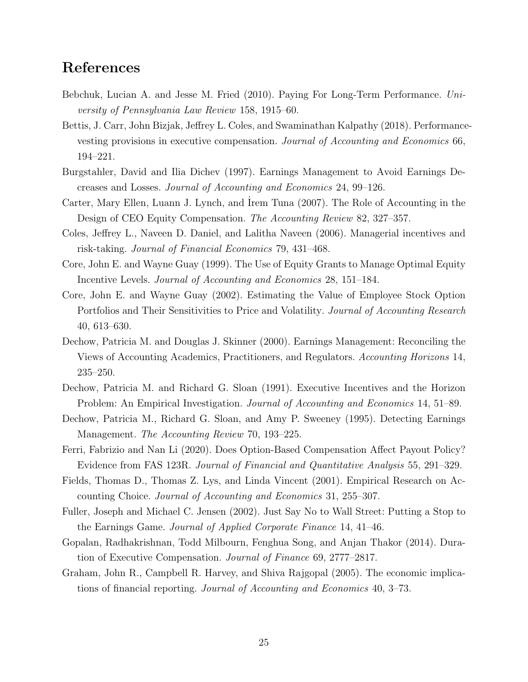# References

- Bebchuk, Lucian A. and Jesse M. Fried (2010). Paying For Long-Term Performance. University of Pennsylvania Law Review 158, 1915–60.
- Bettis, J. Carr, John Bizjak, Jeffrey L. Coles, and Swaminathan Kalpathy (2018). Performancevesting provisions in executive compensation. Journal of Accounting and Economics 66, 194–221.
- Burgstahler, David and Ilia Dichev (1997). Earnings Management to Avoid Earnings Decreases and Losses. Journal of Accounting and Economics 24, 99–126.
- Carter, Mary Ellen, Luann J. Lynch, and ˙Irem Tuna (2007). The Role of Accounting in the Design of CEO Equity Compensation. The Accounting Review 82, 327–357.
- Coles, Jeffrey L., Naveen D. Daniel, and Lalitha Naveen (2006). Managerial incentives and risk-taking. Journal of Financial Economics 79, 431–468.
- Core, John E. and Wayne Guay (1999). The Use of Equity Grants to Manage Optimal Equity Incentive Levels. Journal of Accounting and Economics 28, 151–184.
- Core, John E. and Wayne Guay (2002). Estimating the Value of Employee Stock Option Portfolios and Their Sensitivities to Price and Volatility. Journal of Accounting Research 40, 613–630.
- Dechow, Patricia M. and Douglas J. Skinner (2000). Earnings Management: Reconciling the Views of Accounting Academics, Practitioners, and Regulators. Accounting Horizons 14, 235–250.
- Dechow, Patricia M. and Richard G. Sloan (1991). Executive Incentives and the Horizon Problem: An Empirical Investigation. *Journal of Accounting and Economics* 14, 51–89.
- Dechow, Patricia M., Richard G. Sloan, and Amy P. Sweeney (1995). Detecting Earnings Management. The Accounting Review 70, 193–225.
- Ferri, Fabrizio and Nan Li (2020). Does Option-Based Compensation Affect Payout Policy? Evidence from FAS 123R. Journal of Financial and Quantitative Analysis 55, 291–329.
- Fields, Thomas D., Thomas Z. Lys, and Linda Vincent (2001). Empirical Research on Accounting Choice. Journal of Accounting and Economics 31, 255–307.
- Fuller, Joseph and Michael C. Jensen (2002). Just Say No to Wall Street: Putting a Stop to the Earnings Game. Journal of Applied Corporate Finance 14, 41–46.
- Gopalan, Radhakrishnan, Todd Milbourn, Fenghua Song, and Anjan Thakor (2014). Duration of Executive Compensation. Journal of Finance 69, 2777–2817.
- Graham, John R., Campbell R. Harvey, and Shiva Rajgopal (2005). The economic implications of financial reporting. Journal of Accounting and Economics 40, 3–73.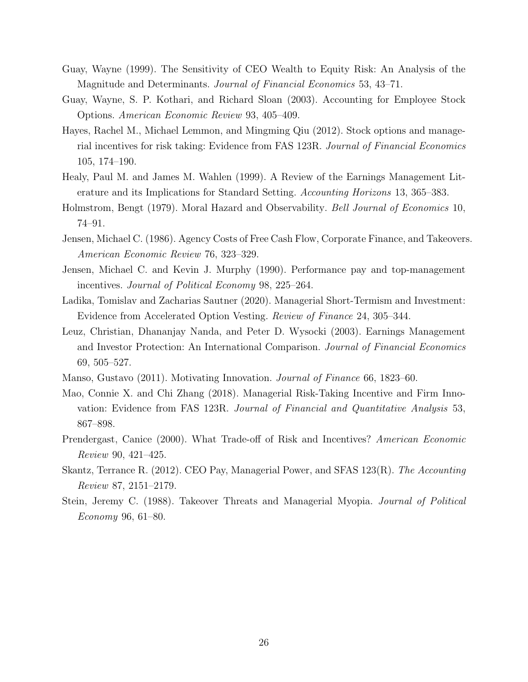- Guay, Wayne (1999). The Sensitivity of CEO Wealth to Equity Risk: An Analysis of the Magnitude and Determinants. Journal of Financial Economics 53, 43-71.
- Guay, Wayne, S. P. Kothari, and Richard Sloan (2003). Accounting for Employee Stock Options. American Economic Review 93, 405–409.
- Hayes, Rachel M., Michael Lemmon, and Mingming Qiu (2012). Stock options and managerial incentives for risk taking: Evidence from FAS 123R. Journal of Financial Economics 105, 174–190.
- Healy, Paul M. and James M. Wahlen (1999). A Review of the Earnings Management Literature and its Implications for Standard Setting. Accounting Horizons 13, 365–383.
- Holmstrom, Bengt (1979). Moral Hazard and Observability. Bell Journal of Economics 10, 74–91.
- Jensen, Michael C. (1986). Agency Costs of Free Cash Flow, Corporate Finance, and Takeovers. American Economic Review 76, 323–329.
- Jensen, Michael C. and Kevin J. Murphy (1990). Performance pay and top-management incentives. Journal of Political Economy 98, 225–264.
- Ladika, Tomislav and Zacharias Sautner (2020). Managerial Short-Termism and Investment: Evidence from Accelerated Option Vesting. Review of Finance 24, 305–344.
- Leuz, Christian, Dhananjay Nanda, and Peter D. Wysocki (2003). Earnings Management and Investor Protection: An International Comparison. Journal of Financial Economics 69, 505–527.
- Manso, Gustavo (2011). Motivating Innovation. Journal of Finance 66, 1823–60.
- Mao, Connie X. and Chi Zhang (2018). Managerial Risk-Taking Incentive and Firm Innovation: Evidence from FAS 123R. Journal of Financial and Quantitative Analysis 53, 867–898.
- Prendergast, Canice (2000). What Trade-off of Risk and Incentives? American Economic Review 90, 421–425.
- Skantz, Terrance R. (2012). CEO Pay, Managerial Power, and SFAS 123(R). The Accounting Review 87, 2151–2179.
- Stein, Jeremy C. (1988). Takeover Threats and Managerial Myopia. Journal of Political Economy 96, 61–80.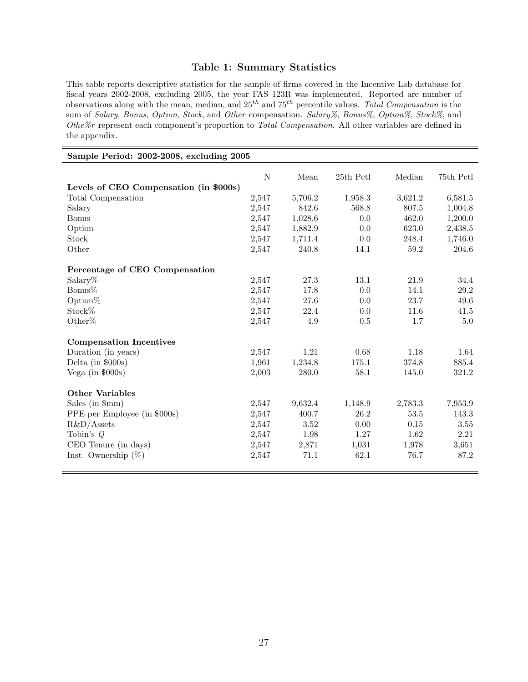## Table 1: Summary Statistics

This table reports descriptive statistics for the sample of firms covered in the Incentive Lab database for fiscal years 2002-2008, excluding 2005, the year FAS 123R was implemented. Reported are number of observations along with the mean, median, and  $25^{th}$  and  $75^{th}$  percentile values. Total Compensation is the sum of Salary, Bonus, Option, Stock, and Other compensation. Salary%, Bonus%, Option%, Stock%, and Othe%r represent each component's proportion to Total Compensation. All other variables are defined in the appendix.

| Sample Period: 2002-2008, excluding 2005 |       |         |           |          |           |  |  |  |
|------------------------------------------|-------|---------|-----------|----------|-----------|--|--|--|
|                                          | N     | Mean    | 25th Pctl | Median   | 75th Pctl |  |  |  |
| Levels of CEO Compensation (in \$000s)   |       |         |           |          |           |  |  |  |
| Total Compensation                       | 2,547 | 5,706.2 | 1,958.3   | 3,621.2  | 6,581.5   |  |  |  |
| Salary                                   | 2,547 | 842.6   | 568.8     | 807.5    | 1,004.8   |  |  |  |
| <b>Bonus</b>                             | 2,547 | 1,028.6 | 0.0       | 462.0    | 1,200.0   |  |  |  |
| Option                                   | 2,547 | 1,882.9 | 0.0       | 623.0    | 2,438.5   |  |  |  |
| Stock                                    | 2,547 | 1,711.4 | 0.0       | 248.4    | 1,746.0   |  |  |  |
| Other                                    | 2,547 | 240.8   | 14.1      | 59.2     | 204.6     |  |  |  |
| Percentage of CEO Compensation           |       |         |           |          |           |  |  |  |
| Salary $%$                               | 2,547 | 27.3    | 13.1      | 21.9     | 34.4      |  |  |  |
| Bonus%                                   | 2,547 | 17.8    | 0.0       | 14.1     | $29.2\,$  |  |  |  |
| Option $%$                               | 2,547 | 27.6    | 0.0       | 23.7     | 49.6      |  |  |  |
| Stock%                                   | 2,547 | 22.4    | 0.0       | 11.6     | 41.5      |  |  |  |
| Other%                                   | 2,547 | 4.9     | 0.5       | 1.7      | $5.0\,$   |  |  |  |
| <b>Compensation Incentives</b>           |       |         |           |          |           |  |  |  |
| Duration (in years)                      | 2,547 | 1.21    | 0.68      | 1.18     | 1.64      |  |  |  |
| Delta (in $$000s)$                       | 1,961 | 1,234.8 | 175.1     | 374.8    | 885.4     |  |  |  |
| Vega (in $$000s)$                        | 2,003 | 280.0   | 58.1      | 145.0    | 321.2     |  |  |  |
| <b>Other Variables</b>                   |       |         |           |          |           |  |  |  |
| Sales (in $$mm)$ )                       | 2,547 | 9,632.4 | 1,148.9   | 2,783.3  | 7,953.9   |  |  |  |
| PPE per Employee (in \$000s)             | 2,547 | 400.7   | 26.2      | 53.5     | 143.3     |  |  |  |
| $R&D/A$ ssets                            | 2,547 | 3.52    | 0.00      | $0.15\,$ | 3.55      |  |  |  |
| Tobin's $Q$                              | 2,547 | 1.98    | 1.27      | 1.62     | 2.21      |  |  |  |
| CEO Tenure (in days)                     | 2,547 | 2,871   | 1,031     | 1,978    | 3,651     |  |  |  |
| Inst. Ownership $(\%)$                   | 2,547 | 71.1    | 62.1      | 76.7     | 87.2      |  |  |  |
|                                          |       |         |           |          |           |  |  |  |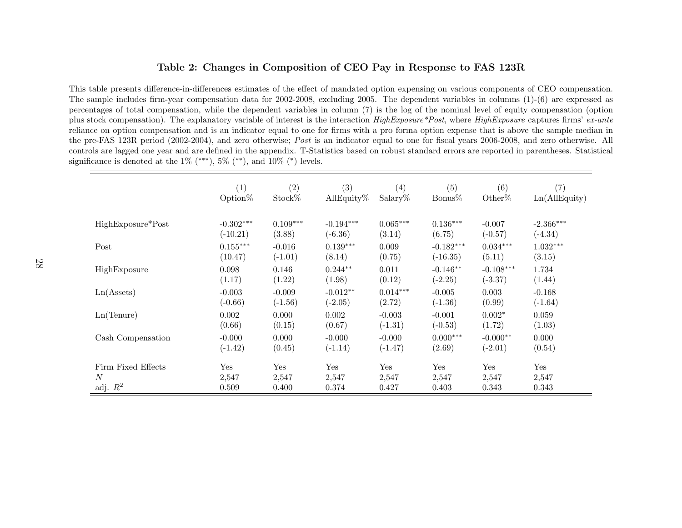#### Table 2: Changes in Composition of CEO Pay in Response to FAS 123R

This table presents difference-in-differences estimates of the effect of mandated option expensing on various components of CEO compensation.The sample includes firm-year compensation data for 2002-2008, excluding 2005. The dependent variables in columns (1)-(6) are expressed as percentages of total compensation, while the dependent variables in column (7) is the log of the nominal level of equity compensation (optionplus stock compensation). The explanatory variable of interest is the interaction  $HighExposure*Post$ , where  $HighExposure$  captures firms' ex-ante reliance on option compensation and is an indicator equal to one for firms with <sup>a</sup> pro forma option expense that is above the sample median inthe pre-FAS 123R period (2002-2004), and zero otherwise; *Post* is an indicator equal to one for fiscal years 2006-2008, and zero otherwise. All controls are lagged one year and are defined in the appendix. T-Statistics based on robust standard errors are reported in parentheses. Statisticalsignificance is denoted at the  $1\%$  (\*\*\*),  $5\%$  (\*\*), and  $10\%$  (\*) levels.

|                     | (1)         | (2)        | $\left( 3\right)$ | $\left( 4\right)$ | (5)         | (6)         | (7)           |
|---------------------|-------------|------------|-------------------|-------------------|-------------|-------------|---------------|
|                     | Option $%$  | Stock%     | AllEquity $%$     | $Salary\%$        | Bonus%      | Other $%$   | Ln(AIIEquity) |
| HighExposure*Post   | $-0.302***$ | $0.109***$ | $-0.194***$       | $0.065***$        | $0.136***$  | $-0.007$    | $-2.366***$   |
|                     | $(-10.21)$  | (3.88)     | $(-6.36)$         | (3.14)            | (6.75)      | $(-0.57)$   | $(-4.34)$     |
| Post                | $0.155***$  | $-0.016$   | $0.139***$        | 0.009             | $-0.182***$ | $0.034***$  | $1.032***$    |
|                     | (10.47)     | $(-1.01)$  | (8.14)            | (0.75)            | $(-16.35)$  | (5.11)      | (3.15)        |
| HighExposure        | 0.098       | 0.146      | $0.244**$         | 0.011             | $-0.146**$  | $-0.108***$ | 1.734         |
|                     | (1.17)      | (1.22)     | (1.98)            | (0.12)            | $(-2.25)$   | $(-3.37)$   | (1.44)        |
| Ln(A <sub>s</sub> ) | $-0.003$    | $-0.009$   | $-0.012**$        | $0.014***$        | $-0.005$    | 0.003       | $-0.168$      |
|                     | $(-0.66)$   | $(-1.56)$  | $(-2.05)$         | (2.72)            | $(-1.36)$   | (0.99)      | $(-1.64)$     |
| Ln(Tenure)          | 0.002       | 0.000      | 0.002             | $-0.003$          | $-0.001$    | $0.002*$    | 0.059         |
|                     | (0.66)      | (0.15)     | (0.67)            | $(-1.31)$         | $(-0.53)$   | (1.72)      | (1.03)        |
| Cash Compensation   | $-0.000$    | 0.000      | $-0.000$          | $-0.000$          | $0.000***$  | $-0.000**$  | 0.000         |
|                     | $(-1.42)$   | (0.45)     | $(-1.14)$         | $(-1.47)$         | (2.69)      | $(-2.01)$   | (0.54)        |
| Firm Fixed Effects  | Yes         | Yes        | Yes               | Yes               | Yes         | Yes         | Yes           |
| $\boldsymbol{N}$    | 2,547       | 2,547      | 2,547             | 2,547             | 2,547       | 2,547       | 2,547         |
| adj. $R^2$          | 0.509       | 0.400      | 0.374             | 0.427             | 0.403       | 0.343       | 0.343         |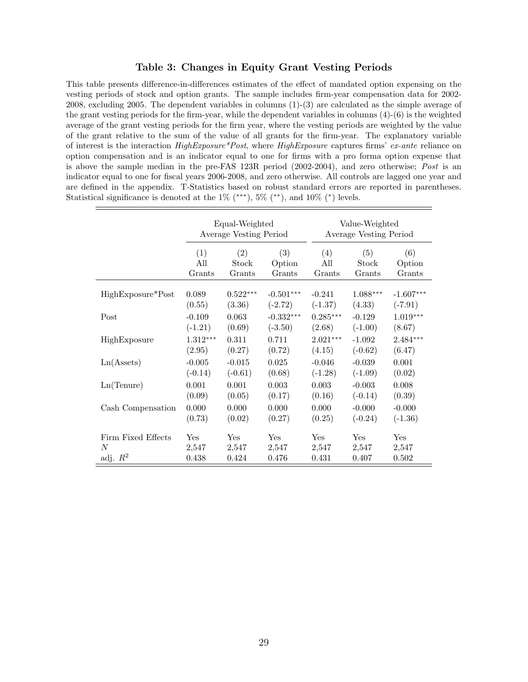#### Table 3: Changes in Equity Grant Vesting Periods

This table presents difference-in-differences estimates of the effect of mandated option expensing on the vesting periods of stock and option grants. The sample includes firm-year compensation data for 2002- 2008, excluding 2005. The dependent variables in columns (1)-(3) are calculated as the simple average of the grant vesting periods for the firm-year, while the dependent variables in columns (4)-(6) is the weighted average of the grant vesting periods for the firm year, where the vesting periods are weighted by the value of the grant relative to the sum of the value of all grants for the firm-year. The explanatory variable of interest is the interaction  $HighExposure*Post$ , where  $HighExposure$  captures firms' ex-ante reliance on option compensation and is an indicator equal to one for firms with a pro forma option expense that is above the sample median in the pre-FAS 123R period (2002-2004), and zero otherwise; Post is an indicator equal to one for fiscal years 2006-2008, and zero otherwise. All controls are lagged one year and are defined in the appendix. T-Statistics based on robust standard errors are reported in parentheses. Statistical significance is denoted at the  $1\%$  (\*\*\*),  $5\%$  (\*\*), and  $10\%$  (\*) levels.

|                     |            | Equal-Weighted<br>Average Vesting Period |             |            | Value-Weighted<br>Average Vesting Period |             |  |  |
|---------------------|------------|------------------------------------------|-------------|------------|------------------------------------------|-------------|--|--|
|                     | (1)        | (2)                                      | (3)         | (4)        | (5)                                      | (6)         |  |  |
|                     | All        | Stock                                    | Option      | All        | Stock                                    | Option      |  |  |
|                     | Grants     | Grants                                   | Grants      | Grants     | Grants                                   | Grants      |  |  |
| HighExposure*Post   | 0.089      | $0.522***$                               | $-0.501***$ | $-0.241$   | $1.088***$                               | $-1.607***$ |  |  |
|                     | (0.55)     | (3.36)                                   | $(-2.72)$   | $(-1.37)$  | (4.33)                                   | $(-7.91)$   |  |  |
| Post                | $-0.109$   | 0.063                                    | $-0.332***$ | $0.285***$ | $-0.129$                                 | $1.019***$  |  |  |
|                     | $(-1.21)$  | (0.69)                                   | $(-3.50)$   | (2.68)     | $(-1.00)$                                | (8.67)      |  |  |
| HighExposure        | $1.312***$ | 0.311                                    | 0.711       | $2.021***$ | $-1.092$                                 | $2.484***$  |  |  |
|                     | (2.95)     | (0.27)                                   | (0.72)      | (4.15)     | $(-0.62)$                                | (6.47)      |  |  |
| Ln(A <sub>s</sub> ) | $-0.005$   | $-0.015$                                 | 0.025       | $-0.046$   | $-0.039$                                 | 0.001       |  |  |
|                     | $(-0.14)$  | $(-0.61)$                                | (0.68)      | $(-1.28)$  | $(-1.09)$                                | (0.02)      |  |  |
| Ln(Tenure)          | 0.001      | 0.001                                    | 0.003       | 0.003      | $-0.003$                                 | 0.008       |  |  |
|                     | (0.09)     | (0.05)                                   | (0.17)      | (0.16)     | $(-0.14)$                                | (0.39)      |  |  |
| Cash Compensation   | 0.000      | 0.000                                    | 0.000       | 0.000      | $-0.000$                                 | $-0.000$    |  |  |
|                     | (0.73)     | (0.02)                                   | (0.27)      | (0.25)     | $(-0.24)$                                | $(-1.36)$   |  |  |
| Firm Fixed Effects  | Yes        | Yes                                      | Yes         | Yes        | Yes                                      | Yes         |  |  |
| N                   | 2,547      | 2,547                                    | 2,547       | 2,547      | 2,547                                    | 2,547       |  |  |
| adj. $R^2$          | 0.438      | 0.424                                    | 0.476       | 0.431      | 0.407                                    | 0.502       |  |  |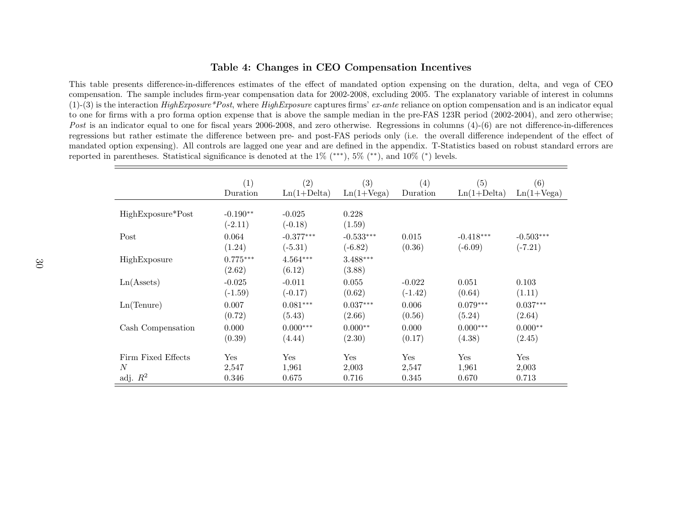#### Table 4: Changes in CEO Compensation Incentives

This table presents difference-in-differences estimates of the effect of mandated option expensing on the duration, delta, and vega of CEO compensation. The sample includes firm-year compensation data for 2002-2008, excluding 2005. The explanatory variable of interest in columns(1)-(3) is the interaction  $HighExposure *Post$ , where  $HighExposure$  captures firms'  $ex$ -ante reliance on option compensation and is an indicator equal to one for firms with <sup>a</sup> pro forma option expense that is above the sample median in the pre-FAS 123R period (2002-2004), and zero otherwise;Post is an indicator equal to one for fiscal years 2006-2008, and zero otherwise. Regressions in columns (4)-(6) are not difference-in-differences regressions but rather estimate the difference between pre- and post-FAS periods only (i.e. the overall difference independent of the effect of mandated option expensing). All controls are lagged one year and are defined in the appendix. T-Statistics based on robust standard errors arereported in parentheses. Statistical significance is denoted at the  $1\%$  (\*\*\*),  $5\%$  (\*\*), and  $10\%$  (\*) levels.

|                     | (1)                     | $\left( 2\right)$     | (3)                  | (4)       | (5)           | (6)          |
|---------------------|-------------------------|-----------------------|----------------------|-----------|---------------|--------------|
|                     | Duration                | $Ln(1+Delta)$         | $Ln(1+Vega)$         | Duration  | $Ln(1+Delta)$ | $Ln(1+Vega)$ |
| HighExposure*Post   | $-0.190**$<br>$(-2.11)$ | $-0.025$<br>$(-0.18)$ | 0.228<br>(1.59)      |           |               |              |
| Post                | 0.064                   | $-0.377***$           | $-0.533***$          | 0.015     | $-0.418***$   | $-0.503***$  |
|                     | (1.24)                  | $(-5.31)$             | $(-6.82)$            | (0.36)    | $(-6.09)$     | $(-7.21)$    |
| HighExposure        | $0.775***$<br>(2.62)    | $4.564***$<br>(6.12)  | $3.488***$<br>(3.88) |           |               |              |
| Ln(A <sub>s</sub> ) | $-0.025$                | $-0.011$              | 0.055                | $-0.022$  | 0.051         | 0.103        |
|                     | $(-1.59)$               | $(-0.17)$             | (0.62)               | $(-1.42)$ | (0.64)        | (1.11)       |
| Ln(Tenure)          | 0.007                   | $0.081***$            | $0.037***$           | 0.006     | $0.079***$    | $0.037***$   |
|                     | (0.72)                  | (5.43)                | (2.66)               | (0.56)    | (5.24)        | (2.64)       |
| Cash Compensation   | 0.000                   | $0.000***$            | $0.000**$            | 0.000     | $0.000***$    | $0.000**$    |
|                     | (0.39)                  | (4.44)                | (2.30)               | (0.17)    | (4.38)        | (2.45)       |
| Firm Fixed Effects  | Yes                     | Yes                   | Yes                  | Yes       | Yes           | Yes          |
| N                   | 2,547                   | 1,961                 | 2,003                | 2,547     | 1,961         | 2,003        |
| adj. $R^2$          | 0.346                   | 0.675                 | 0.716                | 0.345     | 0.670         | 0.713        |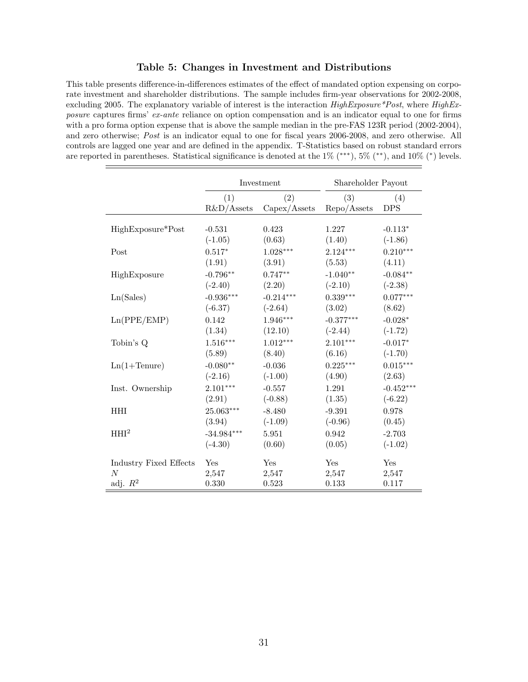#### Table 5: Changes in Investment and Distributions

This table presents difference-in-differences estimates of the effect of mandated option expensing on corporate investment and shareholder distributions. The sample includes firm-year observations for 2002-2008, excluding 2005. The explanatory variable of interest is the interaction  $HighExposure*Post$ , where  $HighEx$ posure captures firms' ex-ante reliance on option compensation and is an indicator equal to one for firms with a pro forma option expense that is above the sample median in the pre-FAS 123R period (2002-2004), and zero otherwise; Post is an indicator equal to one for fiscal years 2006-2008, and zero otherwise. All controls are lagged one year and are defined in the appendix. T-Statistics based on robust standard errors are reported in parentheses. Statistical significance is denoted at the 1% (\*\*\*), 5% (\*\*), and 10% (\*) levels.

|                               |               | Investment   | Shareholder Payout |             |
|-------------------------------|---------------|--------------|--------------------|-------------|
|                               | (1)           | (2)          | (3)                | (4)         |
|                               | $R&D/A$ ssets | Capex/Assets | Repo/Assets        | <b>DPS</b>  |
| HighExposure*Post             | $-0.531$      | 0.423        | 1.227              | $-0.113*$   |
|                               | $(-1.05)$     | (0.63)       | (1.40)             | $(-1.86)$   |
| Post                          | $0.517*$      | $1.028***$   | $2.124***$         | $0.210***$  |
|                               | (1.91)        | (3.91)       | (5.53)             | (4.11)      |
| HighExposure                  | $-0.796**$    | $0.747**$    | $-1.040**$         | $-0.084**$  |
|                               | $(-2.40)$     | (2.20)       | $(-2.10)$          | $(-2.38)$   |
| Ln(Sales)                     | $-0.936***$   | $-0.214***$  | $0.339***$         | $0.077***$  |
|                               | $(-6.37)$     | $(-2.64)$    | (3.02)             | (8.62)      |
| Ln(PPE/EMP)                   | 0.142         | $1.946***$   | $-0.377***$        | $-0.028*$   |
|                               | (1.34)        | (12.10)      | $(-2.44)$          | $(-1.72)$   |
| Tobin's Q                     | $1.516***$    | $1.012***$   | $2.101***$         | $-0.017*$   |
|                               | (5.89)        | (8.40)       | (6.16)             | $(-1.70)$   |
| $Ln(1+Tenure)$                | $-0.080**$    | $-0.036$     | $0.225***$         | $0.015***$  |
|                               | $(-2.16)$     | $(-1.00)$    | (4.90)             | (2.63)      |
| Inst. Ownership               | $2.101***$    | $-0.557$     | 1.291              | $-0.452***$ |
|                               | (2.91)        | $(-0.88)$    | (1.35)             | $(-6.22)$   |
| <b>HHI</b>                    | 25.063***     | $-8.480$     | $-9.391$           | 0.978       |
|                               | (3.94)        | $(-1.09)$    | $(-0.96)$          | (0.45)      |
| HHI <sup>2</sup>              | $-34.984***$  | 5.951        | 0.942              | $-2.703$    |
|                               | $(-4.30)$     | (0.60)       | (0.05)             | $(-1.02)$   |
| <b>Industry Fixed Effects</b> | Yes           | Yes          | Yes                | Yes         |
| $\overline{N}$                | 2,547         | 2,547        | 2,547              | 2,547       |
| adj. $R^2$                    | 0.330         | 0.523        | 0.133              | 0.117       |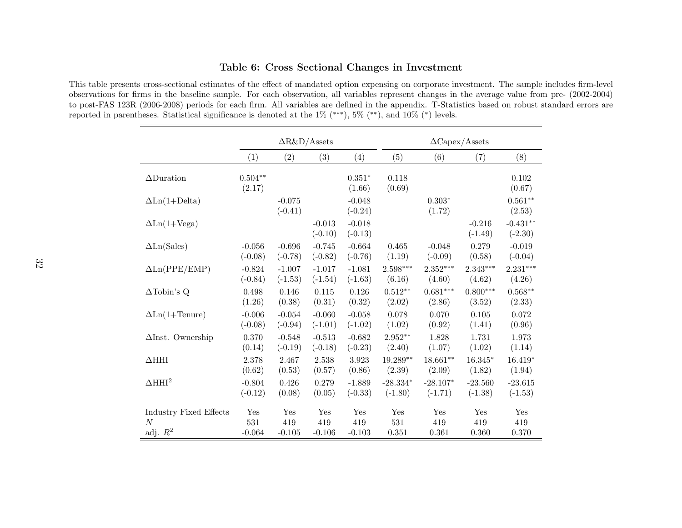#### Table 6: Cross Sectional Changes in Investment

This table presents cross-sectional estimates of the effect of mandated option expensing on corporate investment. The sample includes firm-level observations for firms in the baseline sample. For each observation, all variables represent changes in the average value from pre- (2002-2004) to post-FAS 123R (2006-2008) periods for each firm. All variables are defined in the appendix. T-Statistics based on robust standard errors arereported in parentheses. Statistical significance is denoted at the 1% (∗∗∗), 5% (∗∗), and 10% (∗) levels.

|                               | $\Delta$ R&D/Assets |                       |                       |                       | $\Delta \text{Capex}/\text{Assets}$ |                    |                       |                         |
|-------------------------------|---------------------|-----------------------|-----------------------|-----------------------|-------------------------------------|--------------------|-----------------------|-------------------------|
|                               | (1)                 | (2)                   | (3)                   | (4)                   | (5)                                 | (6)                | (7)                   | (8)                     |
| $\Delta$ Duration             | $0.504**$<br>(2.17) |                       |                       | $0.351*$<br>(1.66)    | 0.118<br>(0.69)                     |                    |                       | 0.102<br>(0.67)         |
| $\Delta$ Ln(1+Delta)          |                     | $-0.075$<br>$(-0.41)$ |                       | $-0.048$<br>$(-0.24)$ |                                     | $0.303*$<br>(1.72) |                       | $0.561**$<br>(2.53)     |
| $\Delta$ Ln(1+Vega)           |                     |                       | $-0.013$<br>$(-0.10)$ | $-0.018$<br>$(-0.13)$ |                                     |                    | $-0.216$<br>$(-1.49)$ | $-0.431**$<br>$(-2.30)$ |
| $\Delta$ Ln(Sales)            | $-0.056$            | $-0.696$              | $-0.745$              | $-0.664$              | 0.465                               | $-0.048$           | 0.279                 | $-0.019$                |
|                               | $(-0.08)$           | $(-0.78)$             | $(-0.82)$             | $(-0.76)$             | (1.19)                              | $(-0.09)$          | (0.58)                | $(-0.04)$               |
| $\Delta \text{Ln}(PPE/EMP)$   | $-0.824$            | $-1.007$              | $-1.017$              | $-1.081$              | $2.598***$                          | $2.352***$         | $2.343***$            | $2.231^{\ast\ast\ast}$  |
|                               | $(-0.84)$           | $(-1.53)$             | $(-1.54)$             | $(-1.63)$             | (6.16)                              | (4.60)             | (4.62)                | (4.26)                  |
| $\Delta$ Tobin's Q            | 0.498               | 0.146                 | 0.115                 | 0.126                 | $0.512**$                           | $0.681***$         | $0.800***$            | $0.568**$               |
|                               | (1.26)              | (0.38)                | (0.31)                | (0.32)                | (2.02)                              | (2.86)             | (3.52)                | (2.33)                  |
| $\Delta$ Ln(1+Tenure)         | $-0.006$            | $-0.054$              | $-0.060$              | $-0.058$              | 0.078                               | 0.070              | 0.105                 | 0.072                   |
|                               | $(-0.08)$           | $(-0.94)$             | $(-1.01)$             | $(-1.02)$             | (1.02)                              | (0.92)             | (1.41)                | (0.96)                  |
| $\Delta$ Inst. Ownership      | 0.370               | $-0.548$              | $-0.513$              | $-0.682$              | $2.952**$                           | 1.828              | 1.731                 | 1.973                   |
|                               | (0.14)              | $(-0.19)$             | $(-0.18)$             | $(-0.23)$             | (2.40)                              | (1.07)             | (1.02)                | (1.14)                  |
| $\Delta HHI$                  | 2.378               | 2.467                 | 2.538                 | 3.923                 | $19.289**$                          | $18.661**$         | $16.345*$             | $16.419*$               |
|                               | (0.62)              | (0.53)                | (0.57)                | (0.86)                | (2.39)                              | (2.09)             | (1.82)                | (1.94)                  |
| $\Delta H H I^2$              | $-0.804$            | 0.426                 | 0.279                 | $-1.889$              | $-28.334*$                          | $-28.107*$         | $-23.560$             | $-23.615$               |
|                               | $(-0.12)$           | (0.08)                | (0.05)                | $(-0.33)$             | $(-1.80)$                           | $(-1.71)$          | $(-1.38)$             | $(-1.53)$               |
| <b>Industry Fixed Effects</b> | Yes                 | Yes                   | Yes                   | Yes                   | Yes                                 | Yes                | Yes                   | Yes                     |
| $\overline{N}$                | 531                 | 419                   | 419                   | 419                   | 531                                 | 419                | 419                   | 419                     |
| adj. $R^2$                    | $-0.064$            | $-0.105$              | $-0.106$              | $-0.103$              | 0.351                               | 0.361              | 0.360                 | 0.370                   |